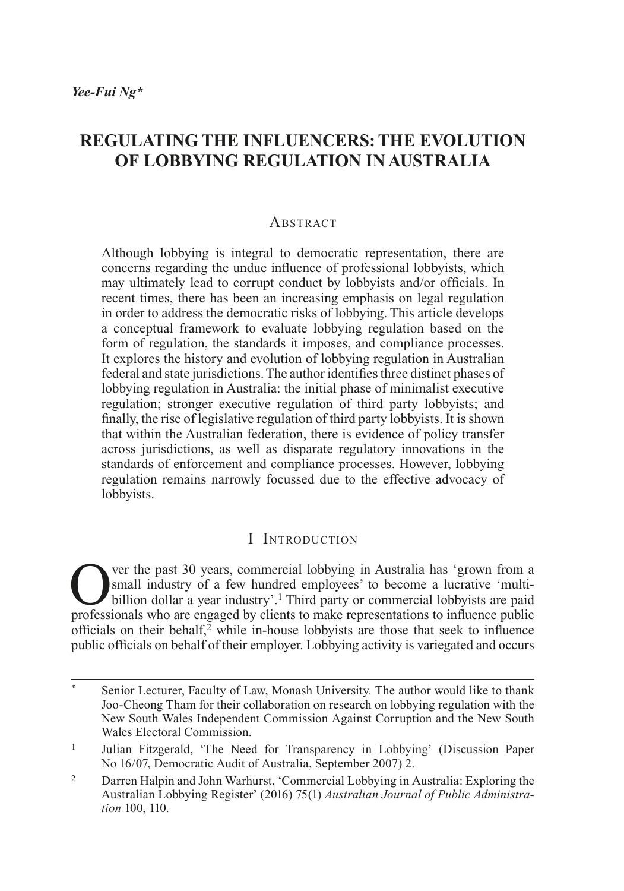# **REGULATING THE INFLUENCERS: THE EVOLUTION OF LOBBYING REGULATION IN AUSTRALIA**

#### **ABSTRACT**

Although lobbying is integral to democratic representation, there are concerns regarding the undue influence of professional lobbyists, which may ultimately lead to corrupt conduct by lobbyists and/or officials. In recent times, there has been an increasing emphasis on legal regulation in order to address the democratic risks of lobbying. This article develops a conceptual framework to evaluate lobbying regulation based on the form of regulation, the standards it imposes, and compliance processes. It explores the history and evolution of lobbying regulation in Australian federal and state jurisdictions. The author identifies three distinct phases of lobbying regulation in Australia: the initial phase of minimalist executive regulation; stronger executive regulation of third party lobbyists; and finally, the rise of legislative regulation of third party lobbyists. It is shown that within the Australian federation, there is evidence of policy transfer across jurisdictions, as well as disparate regulatory innovations in the standards of enforcement and compliance processes. However, lobbying regulation remains narrowly focussed due to the effective advocacy of lobbyists.

#### I Introduction

Over the past 30 years, commercial lobbying in Australia has 'grown from a small industry of a few hundred employees' to become a lucrative 'multi-<br>billion dollar a year industry'.<sup>1</sup> Third party or commercial lobbyists a small industry of a few hundred employees' to become a lucrative 'multiprofessionals who are engaged by clients to make representations to influence public officials on their behalf, $\frac{3}{2}$  while in-house lobbyists are those that seek to influence public officials on behalf of their employer. Lobbying activity is variegated and occurs

Senior Lecturer, Faculty of Law, Monash University. The author would like to thank Joo-Cheong Tham for their collaboration on research on lobbying regulation with the New South Wales Independent Commission Against Corruption and the New South Wales Electoral Commission.

<sup>1</sup> Julian Fitzgerald, 'The Need for Transparency in Lobbying' (Discussion Paper No 16/07, Democratic Audit of Australia, September 2007) 2.

<sup>2</sup> Darren Halpin and John Warhurst, 'Commercial Lobbying in Australia: Exploring the Australian Lobbying Register' (2016) 75(1) *Australian Journal of Public Administration* 100, 110.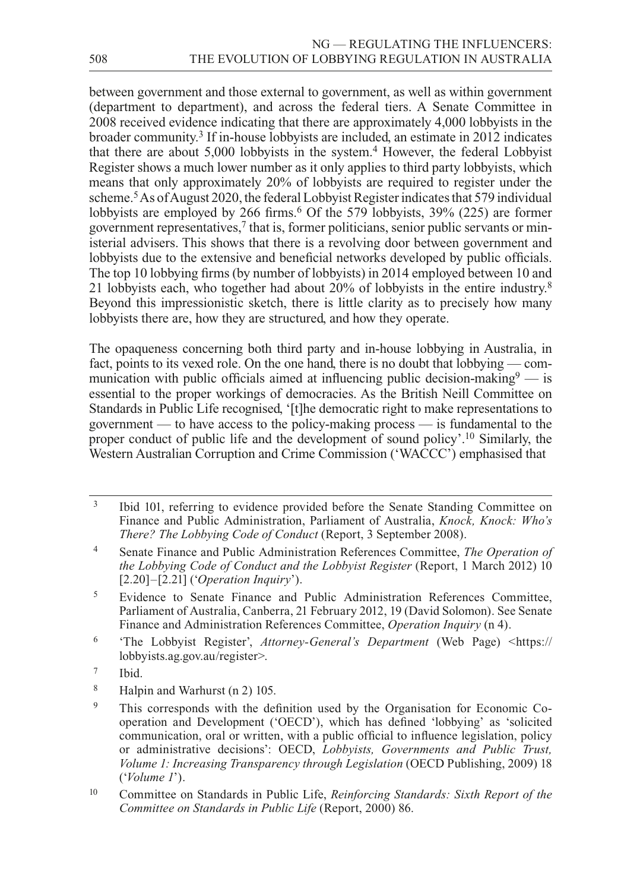between government and those external to government, as well as within government (department to department), and across the federal tiers. A Senate Committee in 2008 received evidence indicating that there are approximately 4,000 lobbyists in the broader community.3 If in-house lobbyists are included, an estimate in 2012 indicates that there are about 5,000 lobbyists in the system.4 However, the federal Lobbyist Register shows a much lower number as it only applies to third party lobbyists, which means that only approximately 20% of lobbyists are required to register under the scheme.5 As of August 2020, the federal Lobbyist Register indicates that 579 individual lobbyists are employed by 266 firms.<sup>6</sup> Of the 579 lobbyists, 39% (225) are former government representatives,<sup>7</sup> that is, former politicians, senior public servants or ministerial advisers. This shows that there is a revolving door between government and lobbyists due to the extensive and beneficial networks developed by public officials. The top 10 lobbying firms (by number of lobbyists) in 2014 employed between 10 and 21 lobbyists each, who together had about 20% of lobbyists in the entire industry.8 Beyond this impressionistic sketch, there is little clarity as to precisely how many lobbyists there are, how they are structured, and how they operate.

The opaqueness concerning both third party and in-house lobbying in Australia, in fact, points to its vexed role. On the one hand, there is no doubt that lobbying — communication with public officials aimed at influencing public decision-making  $9 -$  is essential to the proper workings of democracies. As the British Neill Committee on Standards in Public Life recognised, '[t]he democratic right to make representations to government — to have access to the policy-making process — is fundamental to the proper conduct of public life and the development of sound policy'.10 Similarly, the Western Australian Corruption and Crime Commission ('WACCC') emphasised that

- <sup>3</sup> Ibid 101, referring to evidence provided before the Senate Standing Committee on Finance and Public Administration, Parliament of Australia, *Knock, Knock: Who's There? The Lobbying Code of Conduct* (Report, 3 September 2008).
- <sup>4</sup> Senate Finance and Public Administration References Committee, *The Operation of the Lobbying Code of Conduct and the Lobbyist Register* (Report, 1 March 2012) 10 [2.20]–[2.21] ('*Operation Inquiry*').
- <sup>5</sup> Evidence to Senate Finance and Public Administration References Committee, Parliament of Australia, Canberra, 21 February 2012, 19 (David Solomon). See Senate Finance and Administration References Committee, *Operation Inquiry* (n 4).
- <sup>6</sup> 'The Lobbyist Register', *Attorney-General's Department* (Web Page) <[https://](https://lobbyists.ag.gov.au/register) [lobbyists.ag.gov.au/register](https://lobbyists.ag.gov.au/register)>.
- <sup>7</sup> Ibid.
- <sup>8</sup> Halpin and Warhurst (n 2) 105.
- <sup>9</sup> This corresponds with the definition used by the Organisation for Economic Cooperation and Development ('OECD'), which has defined 'lobbying' as 'solicited communication, oral or written, with a public official to influence legislation, policy or administrative decisions': OECD, *Lobbyists, Governments and Public Trust, Volume 1: Increasing Transparency through Legislation (OECD Publishing, 2009) 18* ('*Volume 1*').
- <sup>10</sup> Committee on Standards in Public Life, *Reinforcing Standards: Sixth Report of the Committee on Standards in Public Life* (Report, 2000) 86.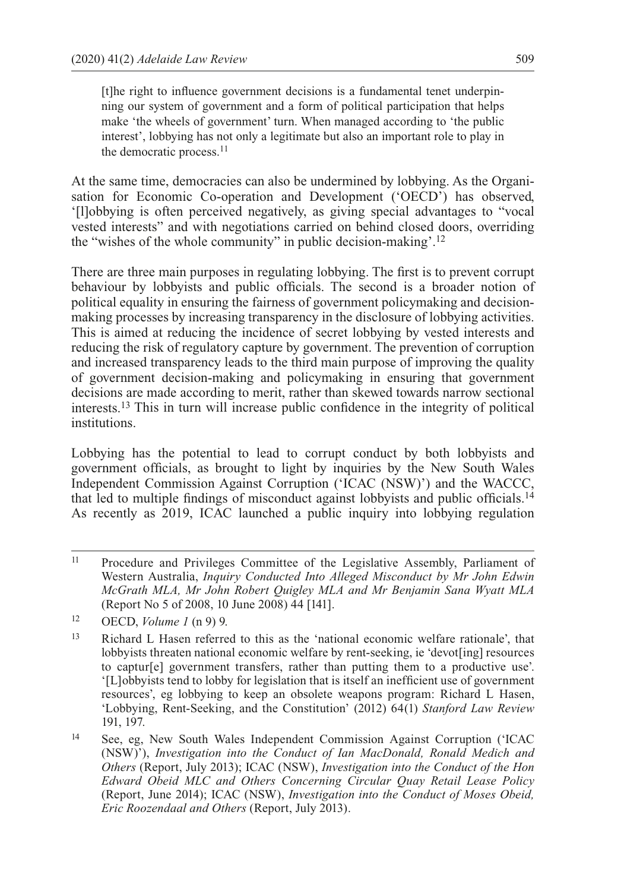[t]he right to influence government decisions is a fundamental tenet underpinning our system of government and a form of political participation that helps make 'the wheels of government' turn. When managed according to 'the public interest', lobbying has not only a legitimate but also an important role to play in the democratic process.<sup>11</sup>

At the same time, democracies can also be undermined by lobbying. As the Organisation for Economic Co-operation and Development ('OECD') has observed, '[l]obbying is often perceived negatively, as giving special advantages to "vocal vested interests" and with negotiations carried on behind closed doors, overriding the "wishes of the whole community" in public decision-making'.12

There are three main purposes in regulating lobbying. The first is to prevent corrupt behaviour by lobbyists and public officials. The second is a broader notion of political equality in ensuring the fairness of government policymaking and decisionmaking processes by increasing transparency in the disclosure of lobbying activities. This is aimed at reducing the incidence of secret lobbying by vested interests and reducing the risk of regulatory capture by government. The prevention of corruption and increased transparency leads to the third main purpose of improving the quality of government decision-making and policymaking in ensuring that government decisions are made according to merit, rather than skewed towards narrow sectional interests.13 This in turn will increase public confidence in the integrity of political institutions.

Lobbying has the potential to lead to corrupt conduct by both lobbyists and government officials, as brought to light by inquiries by the New South Wales Independent Commission Against Corruption ('ICAC (NSW)') and the WACCC, that led to multiple findings of misconduct against lobbyists and public officials.14 As recently as 2019, ICAC launched a public inquiry into lobbying regulation

<sup>11</sup> Procedure and Privileges Committee of the Legislative Assembly, Parliament of Western Australia, *Inquiry Conducted Into Alleged Misconduct by Mr John Edwin McGrath MLA, Mr John Robert Quigley MLA and Mr Benjamin Sana Wyatt MLA* (Report No 5 of 2008, 10 June 2008) 44 [141].

<sup>12</sup> OECD, *Volume 1* (n 9) 9.

<sup>13</sup> Richard L Hasen referred to this as the 'national economic welfare rationale', that lobbyists threaten national economic welfare by rent-seeking, ie 'devot[ing] resources to captur[e] government transfers, rather than putting them to a productive use'. '[L]obbyists tend to lobby for legislation that is itself an inefficient use of government resources', eg lobbying to keep an obsolete weapons program: Richard L Hasen, 'Lobbying, Rent-Seeking, and the Constitution' (2012) 64(1) *Stanford Law Review*  191, 197.

<sup>14</sup> See, eg, New South Wales Independent Commission Against Corruption ('ICAC (NSW)'), *Investigation into the Conduct of Ian MacDonald, Ronald Medich and Others* (Report, July 2013); ICAC (NSW), *Investigation into the Conduct of the Hon Edward Obeid MLC and Others Concerning Circular Quay Retail Lease Policy*  (Report, June 2014); ICAC (NSW), *Investigation into the Conduct of Moses Obeid, Eric Roozendaal and Others* (Report, July 2013).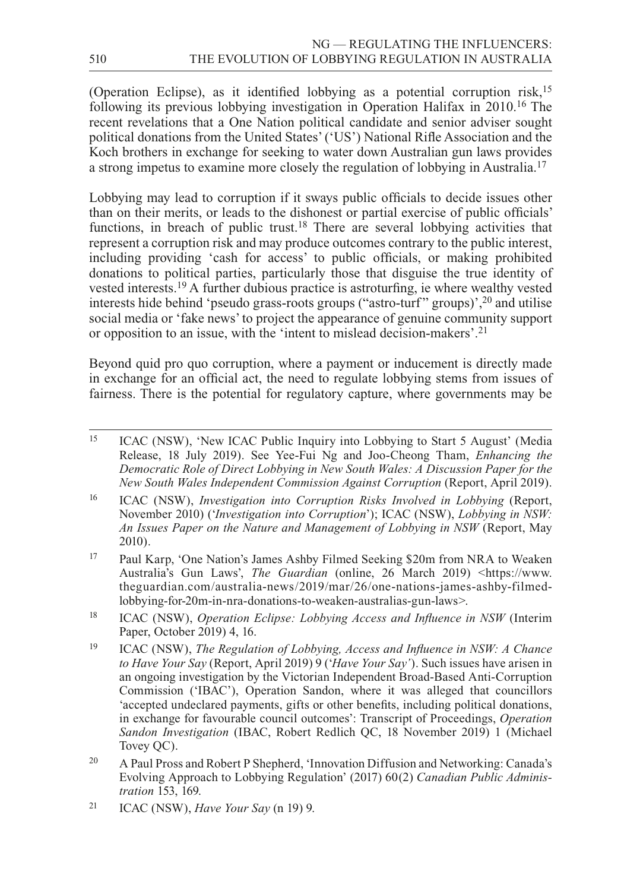(Operation Eclipse), as it identified lobbying as a potential corruption risk,15 following its previous lobbying investigation in Operation Halifax in 2010.16 The recent revelations that a One Nation political candidate and senior adviser sought political donations from the United States' ('US') National Rifle Association and the Koch brothers in exchange for seeking to water down Australian gun laws provides a strong impetus to examine more closely the regulation of lobbying in Australia.17

Lobbying may lead to corruption if it sways public officials to decide issues other than on their merits, or leads to the dishonest or partial exercise of public officials' functions, in breach of public trust.<sup>18</sup> There are several lobbying activities that represent a corruption risk and may produce outcomes contrary to the public interest, including providing 'cash for access' to public officials, or making prohibited donations to political parties, particularly those that disguise the true identity of vested interests.19 A further dubious practice is astroturfing, ie where wealthy vested interests hide behind 'pseudo grass-roots groups ("astro-turf " groups)',20 and utilise social media or 'fake news' to project the appearance of genuine community support or opposition to an issue, with the 'intent to mislead decision-makers'.<sup>21</sup>

Beyond quid pro quo corruption, where a payment or inducement is directly made in exchange for an official act, the need to regulate lobbying stems from issues of fairness. There is the potential for regulatory capture, where governments may be

<sup>16</sup> ICAC (NSW), *Investigation into Corruption Risks Involved in Lobbying* (Report, November 2010) ('*Investigation into Corruption*'); ICAC (NSW), *Lobbying in NSW: An Issues Paper on the Nature and Management of Lobbying in NSW* (Report, May 2010).

- <sup>17</sup> Paul Karp, 'One Nation's James Ashby Filmed Seeking \$20m from NRA to Weaken Australia's Gun Laws', *The Guardian* (online, 26 March 2019) [<https://www.](https://www.theguardian.com/australia--news/2019/mar/26/one--nations--james--ashby--filmed--lobbying--for--20m--in--nra--donations--to--weaken--australias--gun--laws) [theguardian.com/australia-news/2019/mar/26/one-nations-james-ashby-filmed](https://www.theguardian.com/australia--news/2019/mar/26/one--nations--james--ashby--filmed--lobbying--for--20m--in--nra--donations--to--weaken--australias--gun--laws)[lobbying-for-20m-in-nra-donations-to-weaken-australias-gun-laws>](https://www.theguardian.com/australia--news/2019/mar/26/one--nations--james--ashby--filmed--lobbying--for--20m--in--nra--donations--to--weaken--australias--gun--laws).
- <sup>18</sup> ICAC (NSW), *Operation Eclipse: Lobbying Access and Influence in NSW* (Interim Paper, October 2019) 4, 16.
- <sup>19</sup> ICAC (NSW), *The Regulation of Lobbying, Access and Influence in NSW: A Chance to Have Your Say* (Report, April 2019) 9 ('*Have Your Say'*). Such issues have arisen in an ongoing investigation by the Victorian Independent Broad-Based Anti-Corruption Commission ('IBAC'), Operation Sandon, where it was alleged that councillors 'accepted undeclared payments, gifts or other benefits, including political donations, in exchange for favourable council outcomes': Transcript of Proceedings, *Operation Sandon Investigation* (IBAC, Robert Redlich QC, 18 November 2019) 1 (Michael Tovey QC).
- <sup>20</sup> A Paul Pross and Robert P Shepherd, 'Innovation Diffusion and Networking: Canada's Evolving Approach to Lobbying Regulation' (2017) 60(2) *Canadian Public Administration* 153, 169.

<sup>15</sup> ICAC (NSW), 'New ICAC Public Inquiry into Lobbying to Start 5 August' (Media Release, 18 July 2019). See Yee-Fui Ng and Joo-Cheong Tham, *Enhancing the Democratic Role of Direct Lobbying in New South Wales: A Discussion Paper for the New South Wales Independent Commission Against Corruption* (Report, April 2019).

<sup>21</sup> ICAC (NSW), *Have Your Say* (n 19) 9.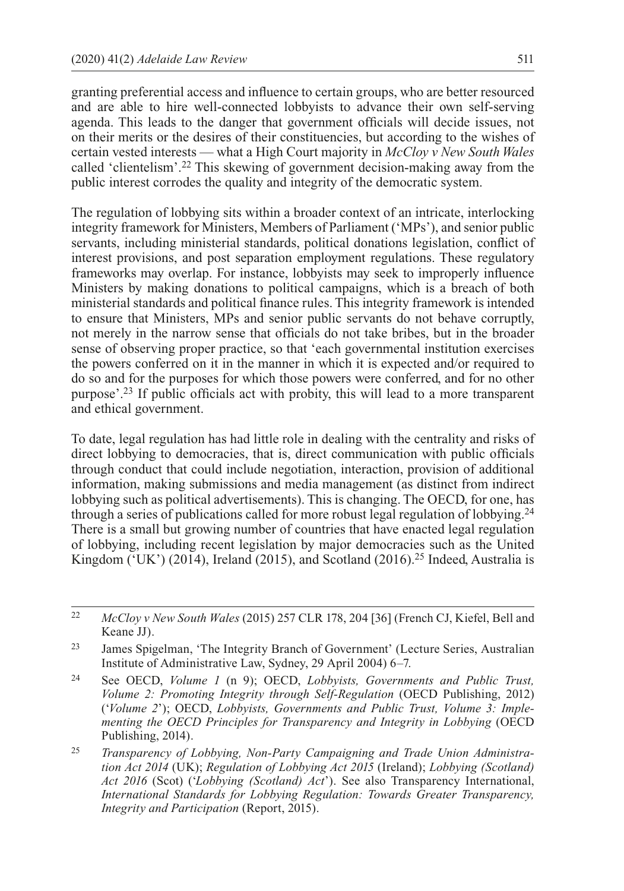granting preferential access and influence to certain groups, who are better resourced and are able to hire well-connected lobbyists to advance their own self-serving agenda. This leads to the danger that government officials will decide issues, not on their merits or the desires of their constituencies, but according to the wishes of certain vested interests — what a High Court majority in *McCloy v New South Wales* called 'clientelism'.22 This skewing of government decision-making away from the public interest corrodes the quality and integrity of the democratic system.

The regulation of lobbying sits within a broader context of an intricate, interlocking integrity framework for Ministers, Members of Parliament ('MPs'), and senior public servants, including ministerial standards, political donations legislation, conflict of interest provisions, and post separation employment regulations. These regulatory frameworks may overlap. For instance, lobbyists may seek to improperly influence Ministers by making donations to political campaigns, which is a breach of both ministerial standards and political finance rules. This integrity framework is intended to ensure that Ministers, MPs and senior public servants do not behave corruptly, not merely in the narrow sense that officials do not take bribes, but in the broader sense of observing proper practice, so that 'each governmental institution exercises the powers conferred on it in the manner in which it is expected and/or required to do so and for the purposes for which those powers were conferred, and for no other purpose'.23 If public officials act with probity, this will lead to a more transparent and ethical government.

To date, legal regulation has had little role in dealing with the centrality and risks of direct lobbying to democracies, that is, direct communication with public officials through conduct that could include negotiation, interaction, provision of additional information, making submissions and media management (as distinct from indirect lobbying such as political advertisements). This is changing. The OECD, for one, has through a series of publications called for more robust legal regulation of lobbying.<sup>24</sup> There is a small but growing number of countries that have enacted legal regulation of lobbying, including recent legislation by major democracies such as the United Kingdom ( $^{\circ}$ UK') (2014), Ireland (2015), and Scotland (2016).<sup>25</sup> Indeed, Australia is

<sup>25</sup> *Transparency of Lobbying, Non-Party Campaigning and Trade Union Administration Act 2014* (UK); *Regulation of Lobbying Act 2015* (Ireland); *Lobbying (Scotland) Act 2016* (Scot) ('*Lobbying (Scotland) Act*'). See also Transparency International, *International Standards for Lobbying Regulation: Towards Greater Transparency, Integrity and Participation* (Report, 2015).

<sup>22</sup> *McCloy v New South Wales* (2015) 257 CLR 178, 204 [36] (French CJ, Kiefel, Bell and Keane JJ).

<sup>23</sup> James Spigelman, 'The Integrity Branch of Government' (Lecture Series, Australian Institute of Administrative Law, Sydney, 29 April 2004) 6–7.

<sup>24</sup> See OECD, *Volume 1* (n 9); OECD, *Lobbyists, Governments and Public Trust, Volume 2: Promoting Integrity through Self-Regulation* (OECD Publishing, 2012) ('*Volume 2*'); OECD, *Lobbyists, Governments and Public Trust, Volume 3: Implementing the OECD Principles for Transparency and Integrity in Lobbying* (OECD Publishing, 2014).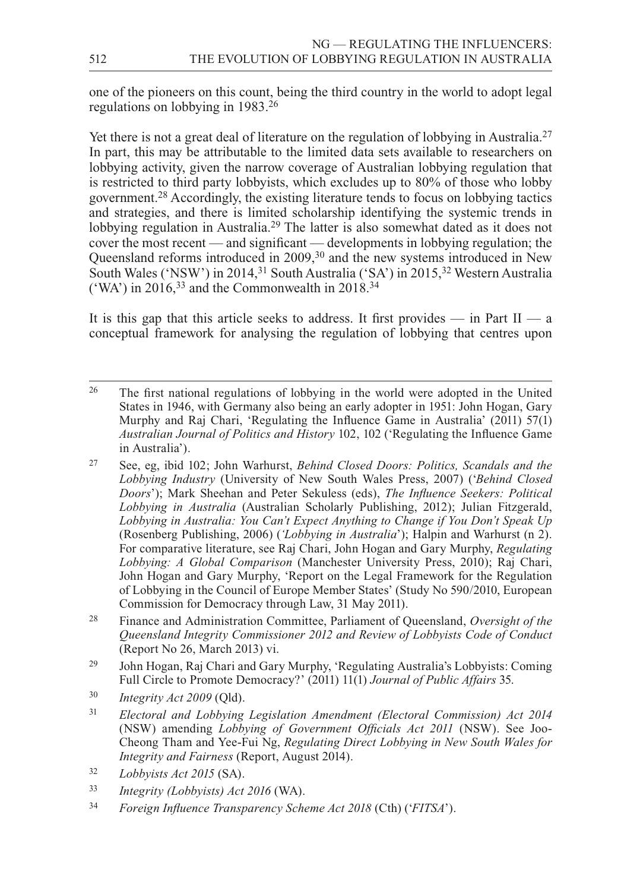one of the pioneers on this count, being the third country in the world to adopt legal regulations on lobbying in 1983.26

Yet there is not a great deal of literature on the regulation of lobbying in Australia.27 In part, this may be attributable to the limited data sets available to researchers on lobbying activity, given the narrow coverage of Australian lobbying regulation that is restricted to third party lobbyists, which excludes up to 80% of those who lobby government.28 Accordingly, the existing literature tends to focus on lobbying tactics and strategies, and there is limited scholarship identifying the systemic trends in lobbying regulation in Australia.<sup>29</sup> The latter is also somewhat dated as it does not cover the most recent — and significant — developments in lobbying regulation; the Queensland reforms introduced in 2009,30 and the new systems introduced in New South Wales ('NSW') in 2014,<sup>31</sup> South Australia ('SA') in 2015,<sup>32</sup> Western Australia ('WA') in 2016,<sup>33</sup> and the Commonwealth in 2018.<sup>34</sup>

It is this gap that this article seeks to address. It first provides — in Part  $II - a$ conceptual framework for analysing the regulation of lobbying that centres upon

- <sup>27</sup> See, eg, ibid 102; John Warhurst, *Behind Closed Doors: Politics, Scandals and the Lobbying Industry* (University of New South Wales Press, 2007) ('*Behind Closed Doors*'); Mark Sheehan and Peter Sekuless (eds), *The Influence Seekers: Political Lobbying in Australia* (Australian Scholarly Publishing, 2012); Julian Fitzgerald, *Lobbying in Australia: You Can't Expect Anything to Change if You Don't Speak Up*  (Rosenberg Publishing, 2006) (*'Lobbying in Australia*'); Halpin and Warhurst (n 2). For comparative literature, see Raj Chari, John Hogan and Gary Murphy, *Regulating Lobbying: A Global Comparison* (Manchester University Press, 2010); Raj Chari, John Hogan and Gary Murphy, 'Report on the Legal Framework for the Regulation of Lobbying in the Council of Europe Member States' (Study No 590/2010, European Commission for Democracy through Law, 31 May 2011).
- <sup>28</sup> Finance and Administration Committee, Parliament of Queensland, *Oversight of the Queensland Integrity Commissioner 2012 and Review of Lobbyists Code of Conduct*  (Report No 26, March 2013) vi.
- <sup>29</sup> John Hogan, Raj Chari and Gary Murphy, 'Regulating Australia's Lobbyists: Coming Full Circle to Promote Democracy?' (2011) 11(1) *Journal of Public Affairs* 35.
- <sup>30</sup> *Integrity Act 2009* (Qld).
- <sup>31</sup> *Electoral and Lobbying Legislation Amendment (Electoral Commission) Act 2014*  (NSW) amending *Lobbying of Government Officials Act 2011* (NSW). See Joo-Cheong Tham and Yee-Fui Ng, *Regulating Direct Lobbying in New South Wales for Integrity and Fairness* (Report, August 2014).
- <sup>32</sup> *Lobbyists Act 2015* (SA).
- <sup>33</sup> *Integrity (Lobbyists) Act 2016* (WA).
- <sup>34</sup> *Foreign Influence Transparency Scheme Act 2018* (Cth) ('*FITSA*').

<sup>26</sup> The first national regulations of lobbying in the world were adopted in the United States in 1946, with Germany also being an early adopter in 1951: John Hogan, Gary Murphy and Raj Chari, 'Regulating the Influence Game in Australia' (2011) 57(1) *Australian Journal of Politics and History* 102, 102 ('Regulating the Influence Game in Australia').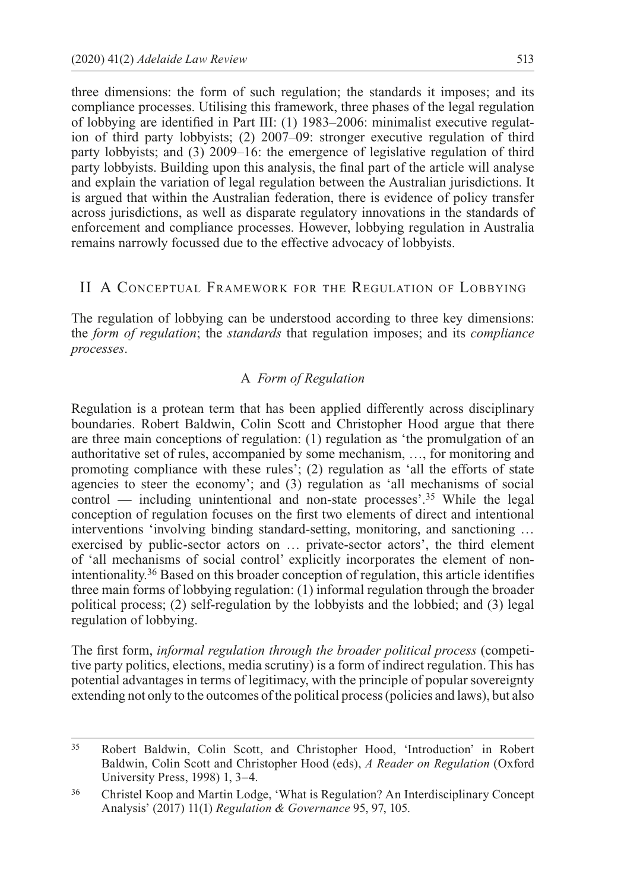three dimensions: the form of such regulation; the standards it imposes; and its compliance processes. Utilising this framework, three phases of the legal regulation of lobbying are identified in Part III: (1) 1983–2006: minimalist executive regulation of third party lobbyists; (2) 2007–09: stronger executive regulation of third party lobbyists; and (3) 2009–16: the emergence of legislative regulation of third party lobbyists. Building upon this analysis, the final part of the article will analyse and explain the variation of legal regulation between the Australian jurisdictions. It is argued that within the Australian federation, there is evidence of policy transfer across jurisdictions, as well as disparate regulatory innovations in the standards of enforcement and compliance processes. However, lobbying regulation in Australia remains narrowly focussed due to the effective advocacy of lobbyists.

#### II A Conceptual Framework for the Regulation of Lobbying

The regulation of lobbying can be understood according to three key dimensions: the *form of regulation*; the *standards* that regulation imposes; and its *compliance processes*.

#### A *Form of Regulation*

Regulation is a protean term that has been applied differently across disciplinary boundaries. Robert Baldwin, Colin Scott and Christopher Hood argue that there are three main conceptions of regulation: (1) regulation as 'the promulgation of an authoritative set of rules, accompanied by some mechanism, …, for monitoring and promoting compliance with these rules'; (2) regulation as 'all the efforts of state agencies to steer the economy'; and (3) regulation as 'all mechanisms of social control — including unintentional and non-state processes'.35 While the legal conception of regulation focuses on the first two elements of direct and intentional interventions 'involving binding standard-setting, monitoring, and sanctioning … exercised by public-sector actors on … private-sector actors', the third element of 'all mechanisms of social control' explicitly incorporates the element of nonintentionality.36 Based on this broader conception of regulation, this article identifies three main forms of lobbying regulation: (1) informal regulation through the broader political process; (2) self-regulation by the lobbyists and the lobbied; and (3) legal regulation of lobbying.

The first form, *informal regulation through the broader political process* (competitive party politics, elections, media scrutiny) is a form of indirect regulation. This has potential advantages in terms of legitimacy, with the principle of popular sovereignty extending not only to the outcomes of the political process (policies and laws), but also

<sup>35</sup> Robert Baldwin, Colin Scott, and Christopher Hood, 'Introduction' in Robert Baldwin, Colin Scott and Christopher Hood (eds), *A Reader on Regulation* (Oxford University Press, 1998) 1, 3–4.

<sup>36</sup> Christel Koop and Martin Lodge, 'What is Regulation? An Interdisciplinary Concept Analysis' (2017) 11(1) *Regulation & Governance* 95, 97, 105.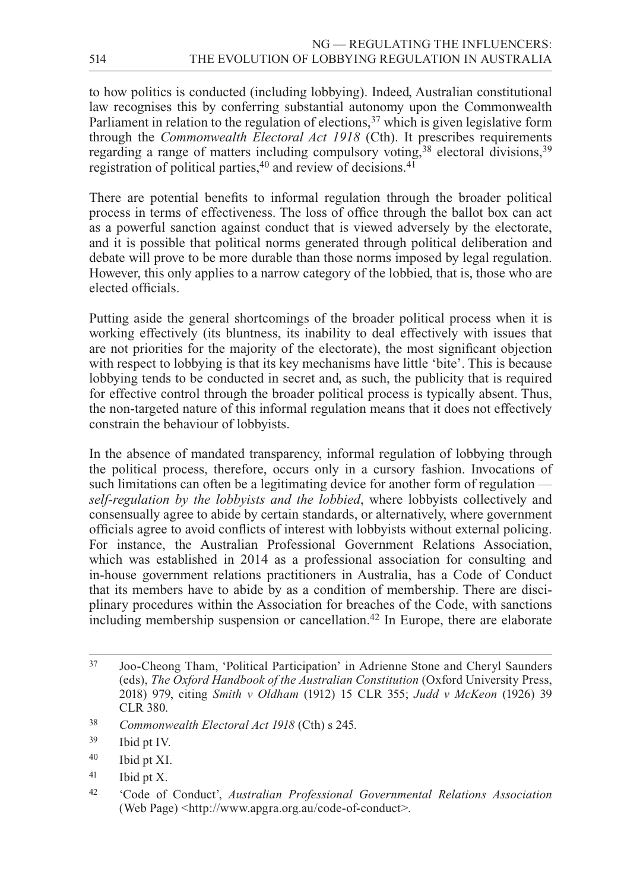to how politics is conducted (including lobbying). Indeed, Australian constitutional law recognises this by conferring substantial autonomy upon the Commonwealth Parliament in relation to the regulation of elections,  $37$  which is given legislative form through the *Commonwealth Electoral Act 1918* (Cth). It prescribes requirements regarding a range of matters including compulsory voting,<sup>38</sup> electoral divisions,<sup>39</sup> registration of political parties,<sup>40</sup> and review of decisions.<sup>41</sup>

There are potential benefits to informal regulation through the broader political process in terms of effectiveness. The loss of office through the ballot box can act as a powerful sanction against conduct that is viewed adversely by the electorate, and it is possible that political norms generated through political deliberation and debate will prove to be more durable than those norms imposed by legal regulation. However, this only applies to a narrow category of the lobbied, that is, those who are elected officials.

Putting aside the general shortcomings of the broader political process when it is working effectively (its bluntness, its inability to deal effectively with issues that are not priorities for the majority of the electorate), the most significant objection with respect to lobbying is that its key mechanisms have little 'bite'. This is because lobbying tends to be conducted in secret and, as such, the publicity that is required for effective control through the broader political process is typically absent. Thus, the non-targeted nature of this informal regulation means that it does not effectively constrain the behaviour of lobbyists.

In the absence of mandated transparency, informal regulation of lobbying through the political process, therefore, occurs only in a cursory fashion. Invocations of such limitations can often be a legitimating device for another form of regulation *self-regulation by the lobbyists and the lobbied*, where lobbyists collectively and consensually agree to abide by certain standards, or alternatively, where government officials agree to avoid conflicts of interest with lobbyists without external policing. For instance, the Australian Professional Government Relations Association, which was established in 2014 as a professional association for consulting and in-house government relations practitioners in Australia, has a Code of Conduct that its members have to abide by as a condition of membership. There are disciplinary procedures within the Association for breaches of the Code, with sanctions including membership suspension or cancellation.<sup>42</sup> In Europe, there are elaborate

<sup>41</sup> Ibid pt X.

<sup>37</sup> Joo-Cheong Tham, 'Political Participation' in Adrienne Stone and Cheryl Saunders (eds), *The Oxford Handbook of the Australian Constitution* (Oxford University Press, 2018) 979, citing *Smith v Oldham* (1912) 15 CLR 355; *Judd v McKeon* (1926) 39 CLR 380.

<sup>38</sup> *Commonwealth Electoral Act 1918* (Cth) s 245.

<sup>39</sup> Ibid pt IV.

<sup>40</sup> Ibid pt XI.

<sup>42</sup> 'Code of Conduct', *Australian Professional Governmental Relations Association* (Web Page) <[http://www.apgra.org.au/code-of-conduct](http://www.apgra.org.au/code--of--conduct)>.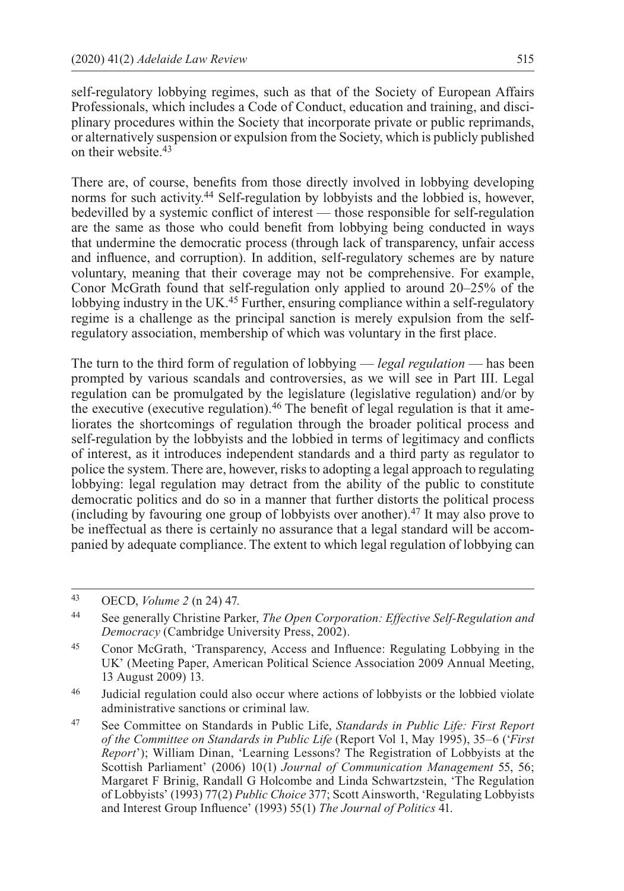self-regulatory lobbying regimes, such as that of the Society of European Affairs Professionals, which includes a Code of Conduct, education and training, and disciplinary procedures within the Society that incorporate private or public reprimands, or alternatively suspension or expulsion from the Society, which is publicly published on their website.43

There are, of course, benefits from those directly involved in lobbying developing norms for such activity.44 Self-regulation by lobbyists and the lobbied is, however, bedevilled by a systemic conflict of interest — those responsible for self-regulation are the same as those who could benefit from lobbying being conducted in ways that undermine the democratic process (through lack of transparency, unfair access and influence, and corruption). In addition, self-regulatory schemes are by nature voluntary, meaning that their coverage may not be comprehensive. For example, Conor McGrath found that self-regulation only applied to around 20–25% of the lobbying industry in the UK.45 Further, ensuring compliance within a self-regulatory regime is a challenge as the principal sanction is merely expulsion from the selfregulatory association, membership of which was voluntary in the first place.

The turn to the third form of regulation of lobbying — *legal regulation* — has been prompted by various scandals and controversies, as we will see in Part III. Legal regulation can be promulgated by the legislature (legislative regulation) and/or by the executive (executive regulation).46 The benefit of legal regulation is that it ameliorates the shortcomings of regulation through the broader political process and self-regulation by the lobbyists and the lobbied in terms of legitimacy and conflicts of interest, as it introduces independent standards and a third party as regulator to police the system. There are, however, risks to adopting a legal approach to regulating lobbying: legal regulation may detract from the ability of the public to constitute democratic politics and do so in a manner that further distorts the political process (including by favouring one group of lobbyists over another).<sup>47</sup> It may also prove to be ineffectual as there is certainly no assurance that a legal standard will be accompanied by adequate compliance. The extent to which legal regulation of lobbying can

<sup>43</sup> OECD, *Volume 2* (n 24) 47.

<sup>44</sup> See generally Christine Parker, *The Open Corporation: Effective Self-Regulation and Democracy* (Cambridge University Press, 2002).

<sup>45</sup> Conor McGrath, 'Transparency, Access and Influence: Regulating Lobbying in the UK' (Meeting Paper, American Political Science Association 2009 Annual Meeting, 13 August 2009) 13.

<sup>46</sup> Judicial regulation could also occur where actions of lobbyists or the lobbied violate administrative sanctions or criminal law.

<sup>47</sup> See Committee on Standards in Public Life, *Standards in Public Life: First Report of the Committee on Standards in Public Life* (Report Vol 1, May 1995), 35–6 ('*First Report*'); William Dinan, 'Learning Lessons? The Registration of Lobbyists at the Scottish Parliament' (2006) 10(1) *Journal of Communication Management* 55, 56; Margaret F Brinig, Randall G Holcombe and Linda Schwartzstein, 'The Regulation of Lobbyists' (1993) 77(2) *Public Choice* 377; Scott Ainsworth, 'Regulating Lobbyists and Interest Group Influence' (1993) 55(1) *The Journal of Politics* 41.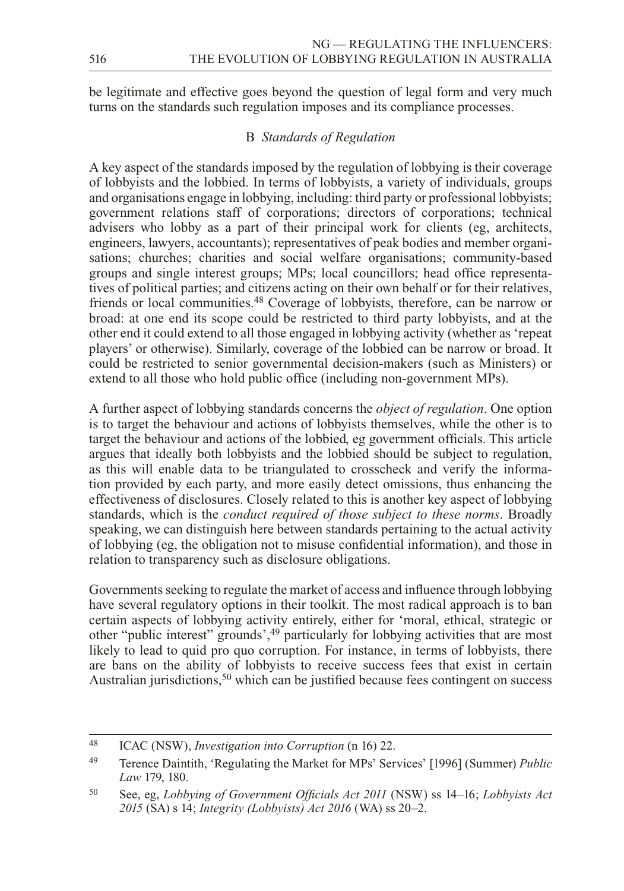be legitimate and effective goes beyond the question of legal form and very much turns on the standards such regulation imposes and its compliance processes.

#### B *Standards of Regulation*

A key aspect of the standards imposed by the regulation of lobbying is their coverage of lobbyists and the lobbied. In terms of lobbyists, a variety of individuals, groups and organisations engage in lobbying, including: third party or professional lobbyists; government relations staff of corporations; directors of corporations; technical advisers who lobby as a part of their principal work for clients (eg, architects, engineers, lawyers, accountants); representatives of peak bodies and member organisations; churches; charities and social welfare organisations; community-based groups and single interest groups; MPs; local councillors; head office representatives of political parties; and citizens acting on their own behalf or for their relatives, friends or local communities.48 Coverage of lobbyists, therefore, can be narrow or broad: at one end its scope could be restricted to third party lobbyists, and at the other end it could extend to all those engaged in lobbying activity (whether as 'repeat players' or otherwise). Similarly, coverage of the lobbied can be narrow or broad. It could be restricted to senior governmental decision-makers (such as Ministers) or extend to all those who hold public office (including non-government MPs).

A further aspect of lobbying standards concerns the *object of regulation*. One option is to target the behaviour and actions of lobbyists themselves, while the other is to target the behaviour and actions of the lobbied, eg government officials. This article argues that ideally both lobbyists and the lobbied should be subject to regulation, as this will enable data to be triangulated to crosscheck and verify the information provided by each party, and more easily detect omissions, thus enhancing the effectiveness of disclosures. Closely related to this is another key aspect of lobbying standards, which is the *conduct required of those subject to these norms*. Broadly speaking, we can distinguish here between standards pertaining to the actual activity of lobbying (eg, the obligation not to misuse confidential information), and those in relation to transparency such as disclosure obligations.

Governments seeking to regulate the market of access and influence through lobbying have several regulatory options in their toolkit. The most radical approach is to ban certain aspects of lobbying activity entirely, either for 'moral, ethical, strategic or other "public interest" grounds',49 particularly for lobbying activities that are most likely to lead to quid pro quo corruption. For instance, in terms of lobbyists, there are bans on the ability of lobbyists to receive success fees that exist in certain Australian jurisdictions,  $50$  which can be justified because fees contingent on success

<sup>48</sup> ICAC (NSW), *Investigation into Corruption* (n 16) 22.

<sup>49</sup> Terence Daintith, 'Regulating the Market for MPs' Services' [1996] (Summer) *Public Law* 179, 180.

<sup>50</sup> See, eg, *Lobbying of Government Officials Act 2011* (NSW) ss 14–16; *Lobbyists Act 2015* (SA) s 14; *Integrity (Lobbyists) Act 2016* (WA) ss 20–2.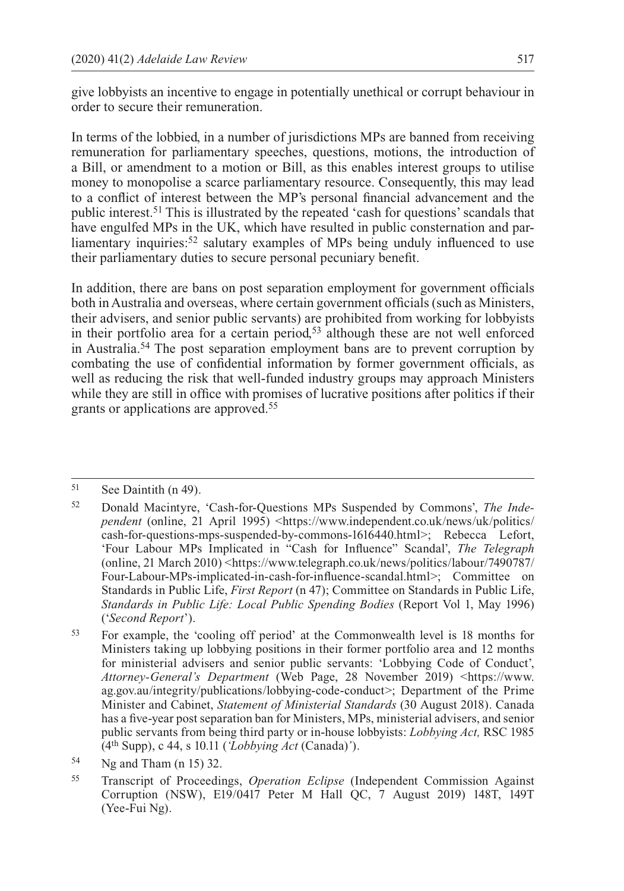give lobbyists an incentive to engage in potentially unethical or corrupt behaviour in order to secure their remuneration.

In terms of the lobbied, in a number of jurisdictions MPs are banned from receiving remuneration for parliamentary speeches, questions, motions, the introduction of a Bill, or amendment to a motion or Bill, as this enables interest groups to utilise money to monopolise a scarce parliamentary resource. Consequently, this may lead to a conflict of interest between the MP's personal financial advancement and the public interest.51 This is illustrated by the repeated 'cash for questions' scandals that have engulfed MPs in the UK, which have resulted in public consternation and parliamentary inquiries:<sup>52</sup> salutary examples of MPs being unduly influenced to use their parliamentary duties to secure personal pecuniary benefit.

In addition, there are bans on post separation employment for government officials both in Australia and overseas, where certain government officials (such as Ministers, their advisers, and senior public servants) are prohibited from working for lobbyists in their portfolio area for a certain period,<sup>53</sup> although these are not well enforced in Australia.54 The post separation employment bans are to prevent corruption by combating the use of confidential information by former government officials, as well as reducing the risk that well-funded industry groups may approach Ministers while they are still in office with promises of lucrative positions after politics if their grants or applications are approved.55

<sup>51</sup> See Daintith (n 49).

<sup>52</sup> Donald Macintyre, 'Cash-for-Questions MPs Suspended by Commons', *The Independent* (online, 21 April 1995) <[https://www.independent.co.uk/news/uk/politics/](https://www.independent.co.uk/news/uk/politics/cash--for--questions--mps--suspended--by--commons--1616440.html) [cash-for-questions-mps-suspended-by-commons-1616440.html>](https://www.independent.co.uk/news/uk/politics/cash--for--questions--mps--suspended--by--commons--1616440.html); Rebecca Lefort, 'Four Labour MPs Implicated in "Cash for Influence" Scandal', *The Telegraph* (online, 21 March 2010) <[https://www.telegraph.co.uk/news/politics/labour/7490787/](https://www.telegraph.co.uk/news/politics/labour/7490787/Four--Labour--MPs--implicated--in--cash--for--influence--scandal.html) [Four-Labour-MPs-implicated-in-cash-for-influence-scandal.html>](https://www.telegraph.co.uk/news/politics/labour/7490787/Four--Labour--MPs--implicated--in--cash--for--influence--scandal.html); Committee on Standards in Public Life, *First Report* (n 47); Committee on Standards in Public Life, *Standards in Public Life: Local Public Spending Bodies* (Report Vol 1, May 1996) ('*Second Report*').

<sup>53</sup> For example, the 'cooling off period' at the Commonwealth level is 18 months for Ministers taking up lobbying positions in their former portfolio area and 12 months for ministerial advisers and senior public servants: 'Lobbying Code of Conduct', *Attorney-General's Department* (Web Page, 28 November 2019) <[https://www.](https://www.ag.gov.au/integrity/publications/lobbying--code--conduct) [ag.gov.au/integrity/publications/lobbying-code-conduct](https://www.ag.gov.au/integrity/publications/lobbying--code--conduct)>; Department of the Prime Minister and Cabinet, *Statement of Ministerial Standards* (30 August 2018). Canada has a five-year post separation ban for Ministers, MPs, ministerial advisers, and senior public servants from being third party or in-house lobbyists: *Lobbying Act,* RSC 1985 (4th Supp), c 44, s 10.11 (*'Lobbying Act* (Canada)*'*).

<sup>54</sup> Ng and Tham (n 15) 32.

<sup>55</sup> Transcript of Proceedings, *Operation Eclipse* (Independent Commission Against Corruption (NSW), E19/0417 Peter M Hall QC, 7 August 2019) 148T, 149T (Yee-Fui Ng).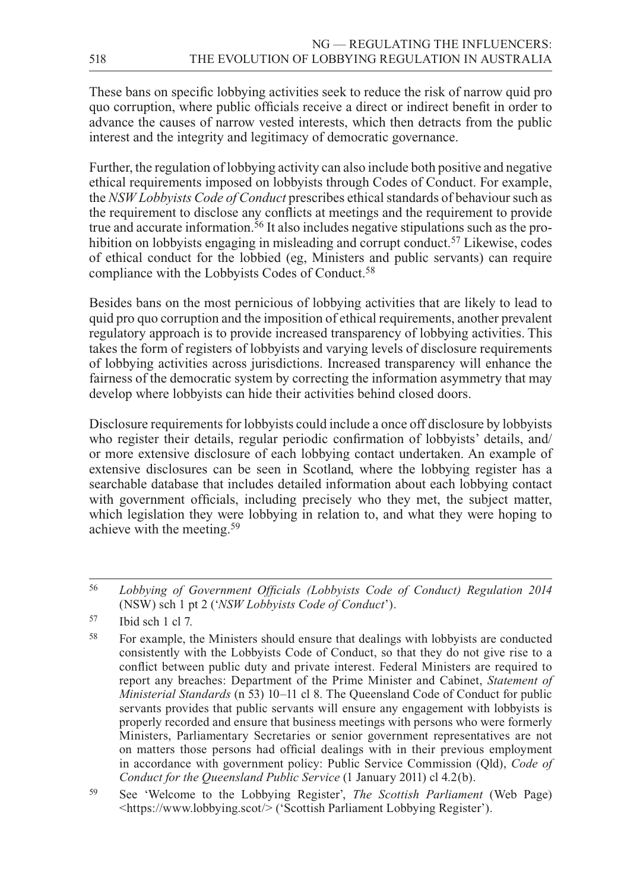These bans on specific lobbying activities seek to reduce the risk of narrow quid pro quo corruption, where public officials receive a direct or indirect benefit in order to advance the causes of narrow vested interests, which then detracts from the public interest and the integrity and legitimacy of democratic governance.

Further, the regulation of lobbying activity can also include both positive and negative ethical requirements imposed on lobbyists through Codes of Conduct. For example, the *NSW Lobbyists Code of Conduct* prescribes ethical standards of behaviour such as the requirement to disclose any conflicts at meetings and the requirement to provide true and accurate information.<sup>56</sup> It also includes negative stipulations such as the prohibition on lobbyists engaging in misleading and corrupt conduct.<sup>57</sup> Likewise, codes of ethical conduct for the lobbied (eg, Ministers and public servants) can require compliance with the Lobbyists Codes of Conduct.<sup>58</sup>

Besides bans on the most pernicious of lobbying activities that are likely to lead to quid pro quo corruption and the imposition of ethical requirements, another prevalent regulatory approach is to provide increased transparency of lobbying activities. This takes the form of registers of lobbyists and varying levels of disclosure requirements of lobbying activities across jurisdictions. Increased transparency will enhance the fairness of the democratic system by correcting the information asymmetry that may develop where lobbyists can hide their activities behind closed doors.

Disclosure requirements for lobbyists could include a once off disclosure by lobbyists who register their details, regular periodic confirmation of lobbyists' details, and/ or more extensive disclosure of each lobbying contact undertaken. An example of extensive disclosures can be seen in Scotland, where the lobbying register has a searchable database that includes detailed information about each lobbying contact with government officials, including precisely who they met, the subject matter, which legislation they were lobbying in relation to, and what they were hoping to achieve with the meeting.59

<sup>56</sup> *Lobbying of Government Officials (Lobbyists Code of Conduct) Regulation 2014* (NSW) sch 1 pt 2 ('*NSW Lobbyists Code of Conduct*').

<sup>57</sup> Ibid sch 1 cl 7.

<sup>58</sup> For example, the Ministers should ensure that dealings with lobbyists are conducted consistently with the Lobbyists Code of Conduct, so that they do not give rise to a conflict between public duty and private interest. Federal Ministers are required to report any breaches: Department of the Prime Minister and Cabinet, *Statement of Ministerial Standards* (n 53) 10–11 cl 8. The Queensland Code of Conduct for public servants provides that public servants will ensure any engagement with lobbyists is properly recorded and ensure that business meetings with persons who were formerly Ministers, Parliamentary Secretaries or senior government representatives are not on matters those persons had official dealings with in their previous employment in accordance with government policy: Public Service Commission (Qld), *Code of Conduct for the Queensland Public Service* (1 January 2011) cl 4.2(b).

<sup>59</sup> See 'Welcome to the Lobbying Register', *The Scottish Parliament* (Web Page) <<https://www.lobbying.scot>/> ('Scottish Parliament Lobbying Register').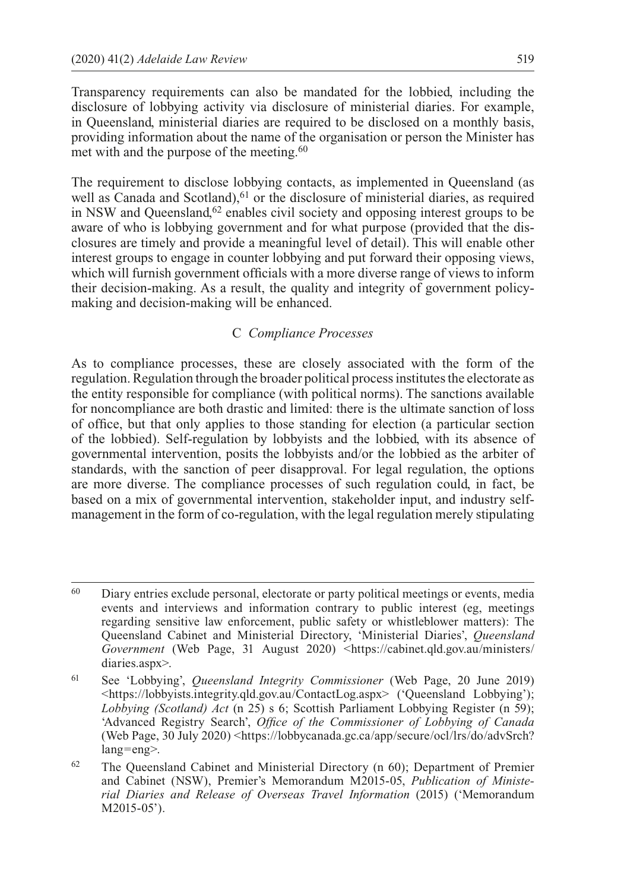Transparency requirements can also be mandated for the lobbied, including the disclosure of lobbying activity via disclosure of ministerial diaries. For example, in Queensland, ministerial diaries are required to be disclosed on a monthly basis, providing information about the name of the organisation or person the Minister has met with and the purpose of the meeting.<sup>60</sup>

The requirement to disclose lobbying contacts, as implemented in Queensland (as well as Canada and Scotland),  $61$  or the disclosure of ministerial diaries, as required in NSW and Queensland, $62$  enables civil society and opposing interest groups to be aware of who is lobbying government and for what purpose (provided that the disclosures are timely and provide a meaningful level of detail). This will enable other interest groups to engage in counter lobbying and put forward their opposing views, which will furnish government officials with a more diverse range of views to inform their decision-making. As a result, the quality and integrity of government policymaking and decision-making will be enhanced.

#### C *Compliance Processes*

As to compliance processes, these are closely associated with the form of the regulation. Regulation through the broader political process institutes the electorate as the entity responsible for compliance (with political norms). The sanctions available for noncompliance are both drastic and limited: there is the ultimate sanction of loss of office, but that only applies to those standing for election (a particular section of the lobbied). Self-regulation by lobbyists and the lobbied, with its absence of governmental intervention, posits the lobbyists and/or the lobbied as the arbiter of standards, with the sanction of peer disapproval. For legal regulation, the options are more diverse. The compliance processes of such regulation could, in fact, be based on a mix of governmental intervention, stakeholder input, and industry selfmanagement in the form of co-regulation, with the legal regulation merely stipulating

<sup>60</sup> Diary entries exclude personal, electorate or party political meetings or events, media events and interviews and information contrary to public interest (eg, meetings regarding sensitive law enforcement, public safety or whistleblower matters): The Queensland Cabinet and Ministerial Directory, 'Ministerial Diaries', *Queensland Government* (Web Page, 31 August 2020) [<https://cabinet.qld.gov.au/ministers/](https://cabinet.qld.gov.au/ministers/diaries.aspx) [diaries.aspx>](https://cabinet.qld.gov.au/ministers/diaries.aspx).

<sup>61</sup> See 'Lobbying', *Queensland Integrity Commissioner* (Web Page, 20 June 2019) <[https://lobbyists.integrity.qld.gov.au/ContactLog.aspx>](https://lobbyists.integrity.qld.gov.au/ContactLog.aspx) ('Queensland Lobbying'); *Lobbying (Scotland) Act* (n 25) s 6; Scottish Parliament Lobbying Register (n 59); 'Advanced Registry Search', *Office of the Commissioner of Lobbying of Canada* (Web Page, 30 July 2020) <[https://lobbycanada.gc.ca/app/secure/ocl/lrs/do/advSrch?](https://lobbycanada.gc.ca/app/secure/ocl/lrs/do/advSrch?lang=eng) [lang=eng>](https://lobbycanada.gc.ca/app/secure/ocl/lrs/do/advSrch?lang=eng).

<sup>62</sup> The Queensland Cabinet and Ministerial Directory (n 60); Department of Premier and Cabinet (NSW), Premier's Memorandum M2015-05, *Publication of Ministerial Diaries and Release of Overseas Travel Information* (2015) ('Memorandum M2015-05').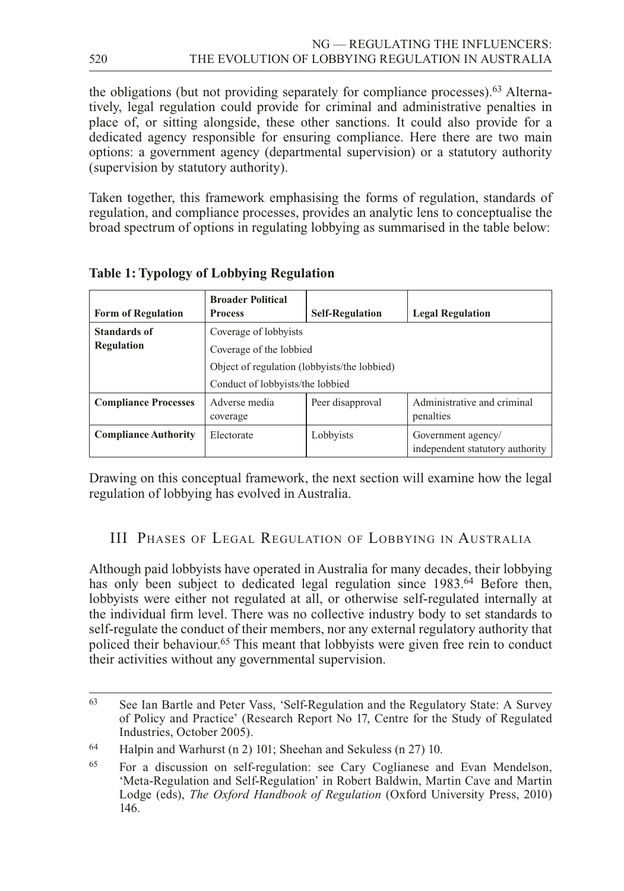the obligations (but not providing separately for compliance processes).63 Alternatively, legal regulation could provide for criminal and administrative penalties in place of, or sitting alongside, these other sanctions. It could also provide for a dedicated agency responsible for ensuring compliance. Here there are two main options: a government agency (departmental supervision) or a statutory authority (supervision by statutory authority).

Taken together, this framework emphasising the forms of regulation, standards of regulation, and compliance processes, provides an analytic lens to conceptualise the broad spectrum of options in regulating lobbying as summarised in the table below:

| <b>Form of Regulation</b>                | <b>Broader Political</b><br><b>Process</b>                                                                                           | <b>Self-Regulation</b> | <b>Legal Regulation</b>                               |
|------------------------------------------|--------------------------------------------------------------------------------------------------------------------------------------|------------------------|-------------------------------------------------------|
| <b>Standards of</b><br><b>Regulation</b> | Coverage of lobbyists<br>Coverage of the lobbied<br>Object of regulation (lobbyists/the lobbied)<br>Conduct of lobbyists/the lobbied |                        |                                                       |
| <b>Compliance Processes</b>              | Adverse media<br>coverage                                                                                                            | Peer disapproval       | Administrative and criminal<br>penalties              |
| <b>Compliance Authority</b>              | Electorate                                                                                                                           | Lobbyists              | Government agency/<br>independent statutory authority |

**Table 1: Typology of Lobbying Regulation**

Drawing on this conceptual framework, the next section will examine how the legal regulation of lobbying has evolved in Australia.

III Phases of Legal Regulation of Lobbying in Australia

Although paid lobbyists have operated in Australia for many decades, their lobbying has only been subject to dedicated legal regulation since 1983.<sup>64</sup> Before then, lobbyists were either not regulated at all, or otherwise self-regulated internally at the individual firm level. There was no collective industry body to set standards to self-regulate the conduct of their members, nor any external regulatory authority that policed their behaviour.65 This meant that lobbyists were given free rein to conduct their activities without any governmental supervision.

<sup>63</sup> See Ian Bartle and Peter Vass, 'Self-Regulation and the Regulatory State: A Survey of Policy and Practice' (Research Report No 17, Centre for the Study of Regulated Industries, October 2005).

<sup>64</sup> Halpin and Warhurst (n 2) 101; Sheehan and Sekuless (n 27) 10.

<sup>65</sup> For a discussion on self-regulation: see Cary Coglianese and Evan Mendelson, 'Meta-Regulation and Self-Regulation' in Robert Baldwin, Martin Cave and Martin Lodge (eds), *The Oxford Handbook of Regulation* (Oxford University Press, 2010) 146.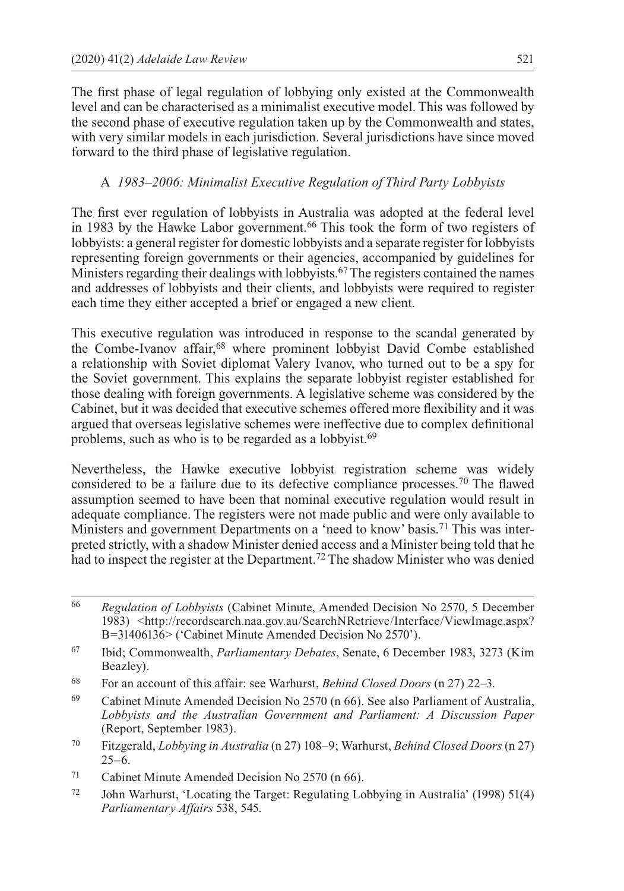The first phase of legal regulation of lobbying only existed at the Commonwealth level and can be characterised as a minimalist executive model. This was followed by the second phase of executive regulation taken up by the Commonwealth and states, with very similar models in each jurisdiction. Several jurisdictions have since moved forward to the third phase of legislative regulation.

## A *1983–2006: Minimalist Executive Regulation of Third Party Lobbyists*

The first ever regulation of lobbyists in Australia was adopted at the federal level in 1983 by the Hawke Labor government.66 This took the form of two registers of lobbyists: a general register for domestic lobbyists and a separate register for lobbyists representing foreign governments or their agencies, accompanied by guidelines for Ministers regarding their dealings with lobbyists.<sup>67</sup> The registers contained the names and addresses of lobbyists and their clients, and lobbyists were required to register each time they either accepted a brief or engaged a new client.

This executive regulation was introduced in response to the scandal generated by the Combe-Ivanov affair,68 where prominent lobbyist David Combe established a relationship with Soviet diplomat Valery Ivanov, who turned out to be a spy for the Soviet government. This explains the separate lobbyist register established for those dealing with foreign governments. A legislative scheme was considered by the Cabinet, but it was decided that executive schemes offered more flexibility and it was argued that overseas legislative schemes were ineffective due to complex definitional problems, such as who is to be regarded as a lobbyist.<sup>69</sup>

Nevertheless, the Hawke executive lobbyist registration scheme was widely considered to be a failure due to its defective compliance processes.70 The flawed assumption seemed to have been that nominal executive regulation would result in adequate compliance. The registers were not made public and were only available to Ministers and government Departments on a 'need to know' basis.71 This was interpreted strictly, with a shadow Minister denied access and a Minister being told that he had to inspect the register at the Department.<sup>72</sup> The shadow Minister who was denied

- <sup>69</sup> Cabinet Minute Amended Decision No 2570 (n 66). See also Parliament of Australia, *Lobbyists and the Australian Government and Parliament: A Discussion Paper*  (Report, September 1983).
- <sup>70</sup> Fitzgerald, *Lobbying in Australia* (n 27) 108–9; Warhurst, *Behind Closed Doors* (n 27)  $25-6.$

<sup>72</sup> John Warhurst, 'Locating the Target: Regulating Lobbying in Australia' (1998) 51(4) *Parliamentary Affairs* 538, 545.

<sup>66</sup> *Regulation of Lobbyists* (Cabinet Minute, Amended Decision No 2570, 5 December 1983) <[http://recordsearch.naa.gov.au/SearchNRetrieve/Interface/ViewImage.aspx?](http://recordsearch.naa.gov.au/SearchNRetrieve/Interface/ViewImage.aspx?B=31406136) [B=31406136>](http://recordsearch.naa.gov.au/SearchNRetrieve/Interface/ViewImage.aspx?B=31406136) ('Cabinet Minute Amended Decision No 2570').

<sup>67</sup> Ibid; Commonwealth, *Parliamentary Debates*, Senate, 6 December 1983, 3273 (Kim Beazley).

<sup>68</sup> For an account of this affair: see Warhurst, *Behind Closed Doors* (n 27) 22–3.

<sup>71</sup> Cabinet Minute Amended Decision No 2570 (n 66).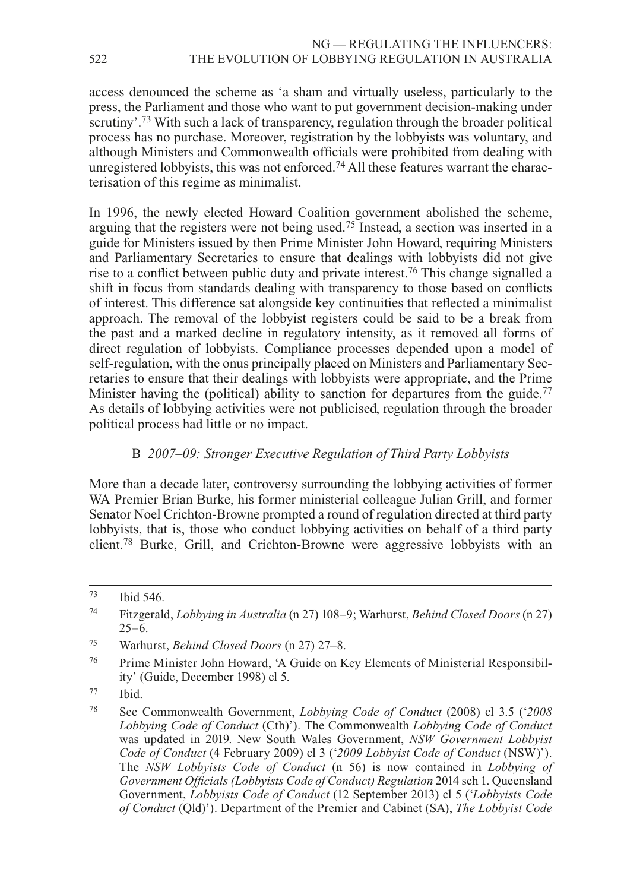access denounced the scheme as 'a sham and virtually useless, particularly to the press, the Parliament and those who want to put government decision-making under scrutiny'.73 With such a lack of transparency, regulation through the broader political process has no purchase. Moreover, registration by the lobbyists was voluntary, and although Ministers and Commonwealth officials were prohibited from dealing with unregistered lobbyists, this was not enforced.<sup>74</sup> All these features warrant the characterisation of this regime as minimalist.

In 1996, the newly elected Howard Coalition government abolished the scheme, arguing that the registers were not being used.75 Instead, a section was inserted in a guide for Ministers issued by then Prime Minister John Howard, requiring Ministers and Parliamentary Secretaries to ensure that dealings with lobbyists did not give rise to a conflict between public duty and private interest.76 This change signalled a shift in focus from standards dealing with transparency to those based on conflicts of interest. This difference sat alongside key continuities that reflected a minimalist approach. The removal of the lobbyist registers could be said to be a break from the past and a marked decline in regulatory intensity, as it removed all forms of direct regulation of lobbyists. Compliance processes depended upon a model of self-regulation, with the onus principally placed on Ministers and Parliamentary Secretaries to ensure that their dealings with lobbyists were appropriate, and the Prime Minister having the (political) ability to sanction for departures from the guide.<sup>77</sup> As details of lobbying activities were not publicised, regulation through the broader political process had little or no impact.

## B *2007–09: Stronger Executive Regulation of Third Party Lobbyists*

More than a decade later, controversy surrounding the lobbying activities of former WA Premier Brian Burke, his former ministerial colleague Julian Grill, and former Senator Noel Crichton-Browne prompted a round of regulation directed at third party lobbyists, that is, those who conduct lobbying activities on behalf of a third party client.78 Burke, Grill, and Crichton-Browne were aggressive lobbyists with an

<sup>73</sup> Ibid 546.

<sup>74</sup> Fitzgerald, *Lobbying in Australia* (n 27) 108–9; Warhurst, *Behind Closed Doors* (n 27)  $25-6$ .

<sup>75</sup> Warhurst, *Behind Closed Doors* (n 27) 27–8.

<sup>76</sup> Prime Minister John Howard, 'A Guide on Key Elements of Ministerial Responsibility' (Guide, December 1998) cl 5.

<sup>77</sup> Ibid.

<sup>78</sup> See Commonwealth Government, *Lobbying Code of Conduct* (2008) cl 3.5 ('*2008 Lobbying Code of Conduct* (Cth)'). The Commonwealth *Lobbying Code of Conduct*  was updated in 2019. New South Wales Government, *NSW Government Lobbyist Code of Conduct* (4 February 2009) cl 3 ('*2009 Lobbyist Code of Conduct* (NSW)'). The *NSW Lobbyists Code of Conduct* (n 56) is now contained in *Lobbying of Government Officials (Lobbyists Code of Conduct) Regulation* 2014 sch 1. Queensland Government, *Lobbyists Code of Conduct* (12 September 2013) cl 5 ('*Lobbyists Code of Conduct* (Qld)'). Department of the Premier and Cabinet (SA), *The Lobbyist Code*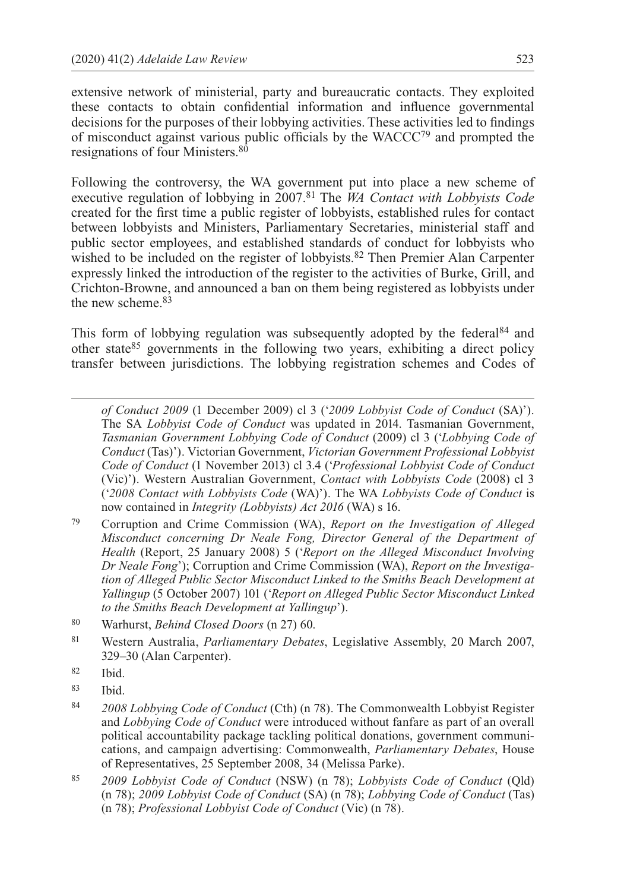extensive network of ministerial, party and bureaucratic contacts. They exploited these contacts to obtain confidential information and influence governmental decisions for the purposes of their lobbying activities. These activities led to findings of misconduct against various public officials by the WACCC79 and prompted the resignations of four Ministers.80

Following the controversy, the WA government put into place a new scheme of executive regulation of lobbying in 2007.81 The *WA Contact with Lobbyists Code* created for the first time a public register of lobbyists, established rules for contact between lobbyists and Ministers, Parliamentary Secretaries, ministerial staff and public sector employees, and established standards of conduct for lobbyists who wished to be included on the register of lobbyists.<sup>82</sup> Then Premier Alan Carpenter expressly linked the introduction of the register to the activities of Burke, Grill, and Crichton-Browne, and announced a ban on them being registered as lobbyists under the new scheme.<sup>83</sup>

This form of lobbying regulation was subsequently adopted by the federal<sup>84</sup> and other state85 governments in the following two years, exhibiting a direct policy transfer between jurisdictions. The lobbying registration schemes and Codes of

*of Conduct 2009* (1 December 2009) cl 3 ('*2009 Lobbyist Code of Conduct* (SA)'). The SA *Lobbyist Code of Conduct* was updated in 2014. Tasmanian Government, *Tasmanian Government Lobbying Code of Conduct* (2009) cl 3 ('*Lobbying Code of Conduct* (Tas)'). Victorian Government, *Victorian Government Professional Lobbyist Code of Conduct* (1 November 2013) cl 3.4 ('*Professional Lobbyist Code of Conduct* (Vic)'). Western Australian Government, *Contact with Lobbyists Code* (2008) cl 3 ('*2008 Contact with Lobbyists Code* (WA)'). The WA *Lobbyists Code of Conduct* is now contained in *Integrity (Lobbyists) Act 2016* (WA) s 16.

<sup>79</sup> Corruption and Crime Commission (WA), *Report on the Investigation of Alleged Misconduct concerning Dr Neale Fong, Director General of the Department of Health* (Report, 25 January 2008) 5 ('*Report on the Alleged Misconduct Involving Dr Neale Fong*'); Corruption and Crime Commission (WA), *Report on the Investigation of Alleged Public Sector Misconduct Linked to the Smiths Beach Development at Yallingup* (5 October 2007) 101 ('*Report on Alleged Public Sector Misconduct Linked to the Smiths Beach Development at Yallingup*').

<sup>80</sup> Warhurst, *Behind Closed Doors* (n 27) 60.

<sup>81</sup> Western Australia, *Parliamentary Debates*, Legislative Assembly, 20 March 2007, 329–30 (Alan Carpenter).

<sup>82</sup> Ibid.

<sup>83</sup> Ibid.

<sup>84</sup> *2008 Lobbying Code of Conduct* (Cth) (n 78). The Commonwealth Lobbyist Register and *Lobbying Code of Conduct* were introduced without fanfare as part of an overall political accountability package tackling political donations, government communications, and campaign advertising: Commonwealth, *Parliamentary Debates*, House of Representatives, 25 September 2008, 34 (Melissa Parke).

<sup>85</sup> *2009 Lobbyist Code of Conduct* (NSW) (n 78); *Lobbyists Code of Conduct* (Qld) (n 78); *2009 Lobbyist Code of Conduct* (SA) (n 78); *Lobbying Code of Conduct* (Tas) (n 78); *Professional Lobbyist Code of Conduct* (Vic) (n 78).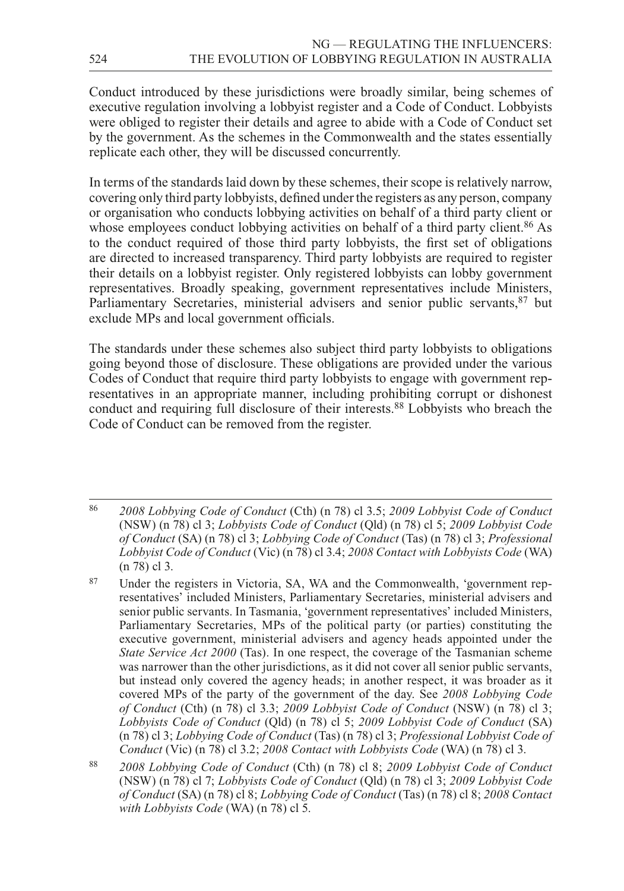Conduct introduced by these jurisdictions were broadly similar, being schemes of executive regulation involving a lobbyist register and a Code of Conduct. Lobbyists were obliged to register their details and agree to abide with a Code of Conduct set by the government. As the schemes in the Commonwealth and the states essentially replicate each other, they will be discussed concurrently.

In terms of the standards laid down by these schemes, their scope is relatively narrow, covering only third party lobbyists, defined under the registers as any person, company or organisation who conducts lobbying activities on behalf of a third party client or whose employees conduct lobbying activities on behalf of a third party client.<sup>86</sup> As to the conduct required of those third party lobbyists, the first set of obligations are directed to increased transparency. Third party lobbyists are required to register their details on a lobbyist register. Only registered lobbyists can lobby government representatives. Broadly speaking, government representatives include Ministers, Parliamentary Secretaries, ministerial advisers and senior public servants, <sup>87</sup> but exclude MPs and local government officials.

The standards under these schemes also subject third party lobbyists to obligations going beyond those of disclosure. These obligations are provided under the various Codes of Conduct that require third party lobbyists to engage with government representatives in an appropriate manner, including prohibiting corrupt or dishonest conduct and requiring full disclosure of their interests.88 Lobbyists who breach the Code of Conduct can be removed from the register.

<sup>86</sup> *2008 Lobbying Code of Conduct* (Cth) (n 78) cl 3.5; *2009 Lobbyist Code of Conduct*  (NSW) (n 78) cl 3; *Lobbyists Code of Conduct* (Qld) (n 78) cl 5; *2009 Lobbyist Code of Conduct* (SA) (n 78) cl 3; *Lobbying Code of Conduct* (Tas) (n 78) cl 3; *Professional Lobbyist Code of Conduct* (Vic) (n 78) cl 3.4; *2008 Contact with Lobbyists Code* (WA) (n 78) cl 3.

<sup>87</sup> Under the registers in Victoria, SA, WA and the Commonwealth, 'government representatives' included Ministers, Parliamentary Secretaries, ministerial advisers and senior public servants. In Tasmania, 'government representatives' included Ministers, Parliamentary Secretaries, MPs of the political party (or parties) constituting the executive government, ministerial advisers and agency heads appointed under the *State Service Act 2000* (Tas). In one respect, the coverage of the Tasmanian scheme was narrower than the other jurisdictions, as it did not cover all senior public servants, but instead only covered the agency heads; in another respect, it was broader as it covered MPs of the party of the government of the day. See *2008 Lobbying Code of Conduct* (Cth) (n 78) cl 3.3; *2009 Lobbyist Code of Conduct* (NSW) (n 78) cl 3; *Lobbyists Code of Conduct* (Qld) (n 78) cl 5; *2009 Lobbyist Code of Conduct* (SA) (n 78) cl 3; *Lobbying Code of Conduct* (Tas) (n 78) cl 3; *Professional Lobbyist Code of Conduct* (Vic) (n 78) cl 3.2; *2008 Contact with Lobbyists Code* (WA) (n 78) cl 3.

<sup>88</sup> *2008 Lobbying Code of Conduct* (Cth) (n 78) cl 8; *2009 Lobbyist Code of Conduct*  (NSW) (n 78) cl 7; *Lobbyists Code of Conduct* (Qld) (n 78) cl 3; *2009 Lobbyist Code of Conduct* (SA) (n 78) cl 8; *Lobbying Code of Conduct* (Tas) (n 78) cl 8; *2008 Contact with Lobbyists Code* (WA) (n 78) cl 5.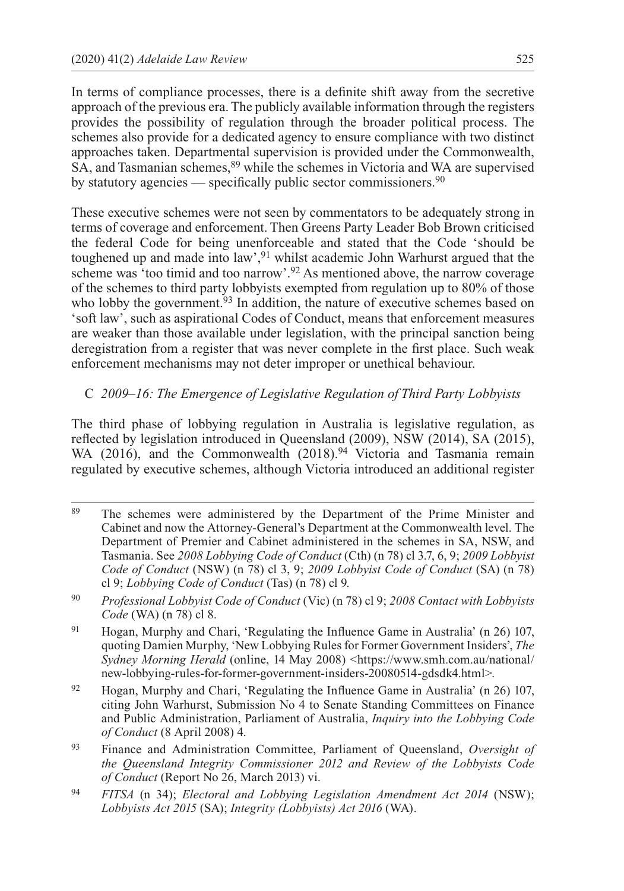In terms of compliance processes, there is a definite shift away from the secretive approach of the previous era. The publicly available information through the registers provides the possibility of regulation through the broader political process. The schemes also provide for a dedicated agency to ensure compliance with two distinct approaches taken. Departmental supervision is provided under the Commonwealth, SA, and Tasmanian schemes,<sup>89</sup> while the schemes in Victoria and WA are supervised by statutory agencies — specifically public sector commissioners.90

These executive schemes were not seen by commentators to be adequately strong in terms of coverage and enforcement. Then Greens Party Leader Bob Brown criticised the federal Code for being unenforceable and stated that the Code 'should be toughened up and made into law',<sup>91</sup> whilst academic John Warhurst argued that the scheme was 'too timid and too narrow'.92 As mentioned above, the narrow coverage of the schemes to third party lobbyists exempted from regulation up to 80% of those who lobby the government.<sup>93</sup> In addition, the nature of executive schemes based on 'soft law', such as aspirational Codes of Conduct, means that enforcement measures are weaker than those available under legislation, with the principal sanction being deregistration from a register that was never complete in the first place. Such weak enforcement mechanisms may not deter improper or unethical behaviour.

#### C *2009–16: The Emergence of Legislative Regulation of Third Party Lobbyists*

The third phase of lobbying regulation in Australia is legislative regulation, as reflected by legislation introduced in Queensland (2009), NSW (2014), SA (2015), WA (2016), and the Commonwealth (2018).<sup>94</sup> Victoria and Tasmania remain regulated by executive schemes, although Victoria introduced an additional register

- <sup>89</sup> The schemes were administered by the Department of the Prime Minister and Cabinet and now the Attorney-General's Department at the Commonwealth level. The Department of Premier and Cabinet administered in the schemes in SA, NSW, and Tasmania. See *2008 Lobbying Code of Conduct* (Cth) (n 78) cl 3.7, 6, 9; *2009 Lobbyist Code of Conduct* (NSW) (n 78) cl 3, 9; *2009 Lobbyist Code of Conduct* (SA) (n 78) cl 9; *Lobbying Code of Conduct* (Tas) (n 78) cl 9.
- <sup>90</sup> *Professional Lobbyist Code of Conduct* (Vic) (n 78) cl 9; *2008 Contact with Lobbyists Code* (WA) (n 78) cl 8.
- <sup>91</sup> Hogan, Murphy and Chari, 'Regulating the Influence Game in Australia' (n 26) 107, quoting Damien Murphy, 'New Lobbying Rules for Former Government Insiders', *The Sydney Morning Herald* (online, 14 May 2008) [<https://www.smh.com.au/national/](https://www.smh.com.au/national/new--lobbying--rules--for--former--government--insiders--20080514--gdsdk4.html) [new-lobbying-rules-for-former-government-insiders-20080514-gdsdk4.html](https://www.smh.com.au/national/new--lobbying--rules--for--former--government--insiders--20080514--gdsdk4.html)>.
- <sup>92</sup> Hogan, Murphy and Chari, 'Regulating the Influence Game in Australia' (n 26) 107, citing John Warhurst, Submission No 4 to Senate Standing Committees on Finance and Public Administration, Parliament of Australia, *Inquiry into the Lobbying Code of Conduct* (8 April 2008) 4.
- <sup>93</sup> Finance and Administration Committee, Parliament of Queensland, *Oversight of the Queensland Integrity Commissioner 2012 and Review of the Lobbyists Code of Conduct* (Report No 26, March 2013) vi.
- <sup>94</sup> *FITSA* (n 34); *Electoral and Lobbying Legislation Amendment Act 2014* (NSW); *Lobbyists Act 2015* (SA); *Integrity (Lobbyists) Act 2016* (WA).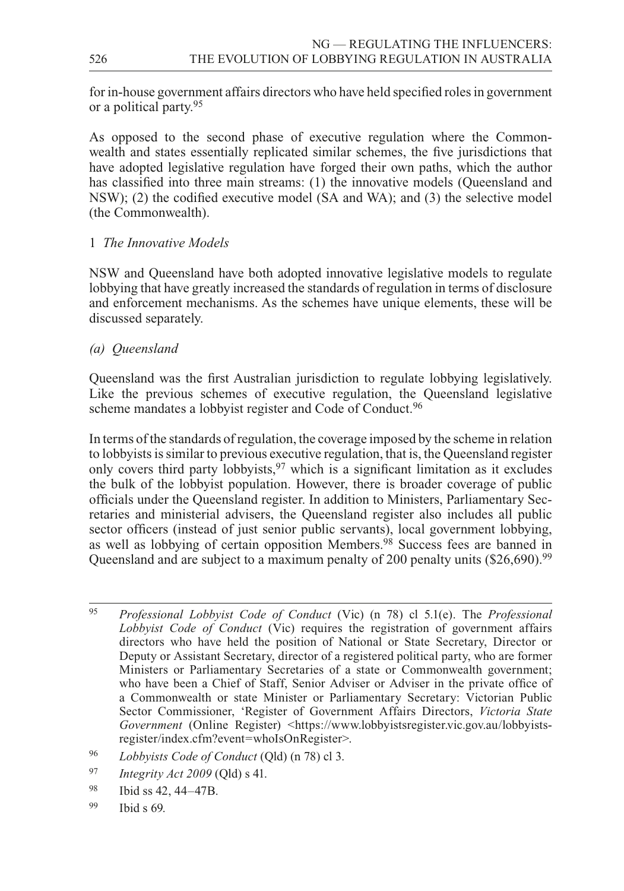for in-house government affairs directors who have held specified roles in government or a political party.95

As opposed to the second phase of executive regulation where the Commonwealth and states essentially replicated similar schemes, the five jurisdictions that have adopted legislative regulation have forged their own paths, which the author has classified into three main streams: (1) the innovative models (Queensland and NSW); (2) the codified executive model (SA and WA); and (3) the selective model (the Commonwealth).

#### 1 *The Innovative Models*

NSW and Queensland have both adopted innovative legislative models to regulate lobbying that have greatly increased the standards of regulation in terms of disclosure and enforcement mechanisms. As the schemes have unique elements, these will be discussed separately.

#### *(a) Queensland*

Queensland was the first Australian jurisdiction to regulate lobbying legislatively. Like the previous schemes of executive regulation, the Queensland legislative scheme mandates a lobbyist register and Code of Conduct.<sup>96</sup>

In terms of the standards of regulation, the coverage imposed by the scheme in relation to lobbyists is similar to previous executive regulation, that is, the Queensland register only covers third party lobbyists,<sup>97</sup> which is a significant limitation as it excludes the bulk of the lobbyist population. However, there is broader coverage of public officials under the Queensland register. In addition to Ministers, Parliamentary Secretaries and ministerial advisers, the Queensland register also includes all public sector officers (instead of just senior public servants), local government lobbying, as well as lobbying of certain opposition Members.<sup>98</sup> Success fees are banned in Queensland and are subject to a maximum penalty of 200 penalty units (\$26,690).<sup>99</sup>

- <sup>97</sup> *Integrity Act 2009* (Qld) s 41.
- <sup>98</sup> Ibid ss 42, 44–47B.
- $99$  Ibid s 69.

<sup>95</sup> *Professional Lobbyist Code of Conduct* (Vic) (n 78) cl 5.1(e). The *Professional Lobbyist Code of Conduct* (Vic) requires the registration of government affairs directors who have held the position of National or State Secretary, Director or Deputy or Assistant Secretary, director of a registered political party, who are former Ministers or Parliamentary Secretaries of a state or Commonwealth government; who have been a Chief of Staff, Senior Adviser or Adviser in the private office of a Commonwealth or state Minister or Parliamentary Secretary: Victorian Public Sector Commissioner, 'Register of Government Affairs Directors, *Victoria State Government* (Online Register) <[https://www.lobbyistsregister.vic.gov.au/lobbyists](https://www.lobbyistsregister.vic.gov.au/lobbyistsregister/index.cfm?event=whoIsOnRegister)[register/index.cfm?event=whoIsOnRegister](https://www.lobbyistsregister.vic.gov.au/lobbyistsregister/index.cfm?event=whoIsOnRegister)>.

<sup>96</sup> *Lobbyists Code of Conduct* (Qld) (n 78) cl 3.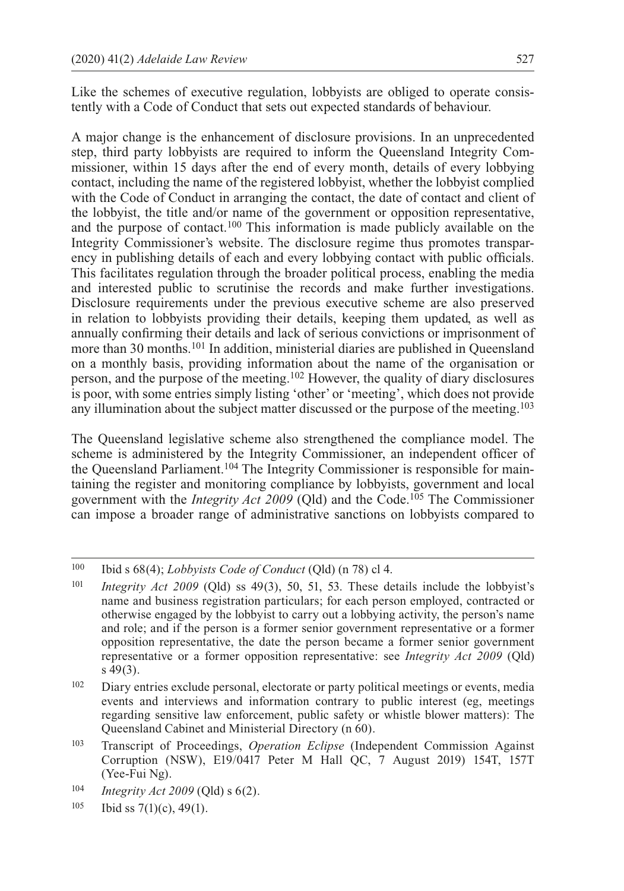Like the schemes of executive regulation, lobbyists are obliged to operate consistently with a Code of Conduct that sets out expected standards of behaviour.

A major change is the enhancement of disclosure provisions. In an unprecedented step, third party lobbyists are required to inform the Queensland Integrity Commissioner, within 15 days after the end of every month, details of every lobbying contact, including the name of the registered lobbyist, whether the lobbyist complied with the Code of Conduct in arranging the contact, the date of contact and client of the lobbyist, the title and/or name of the government or opposition representative, and the purpose of contact.100 This information is made publicly available on the Integrity Commissioner's website. The disclosure regime thus promotes transparency in publishing details of each and every lobbying contact with public officials. This facilitates regulation through the broader political process, enabling the media and interested public to scrutinise the records and make further investigations. Disclosure requirements under the previous executive scheme are also preserved in relation to lobbyists providing their details, keeping them updated, as well as annually confirming their details and lack of serious convictions or imprisonment of more than 30 months.101 In addition, ministerial diaries are published in Queensland on a monthly basis, providing information about the name of the organisation or person, and the purpose of the meeting.102 However, the quality of diary disclosures is poor, with some entries simply listing 'other' or 'meeting', which does not provide any illumination about the subject matter discussed or the purpose of the meeting.103

The Queensland legislative scheme also strengthened the compliance model. The scheme is administered by the Integrity Commissioner, an independent officer of the Queensland Parliament.104 The Integrity Commissioner is responsible for maintaining the register and monitoring compliance by lobbyists, government and local government with the *Integrity Act 2009* (Qld) and the Code.105 The Commissioner can impose a broader range of administrative sanctions on lobbyists compared to

<sup>100</sup> Ibid s 68(4); *Lobbyists Code of Conduct* (Qld) (n 78) cl 4.

<sup>101</sup> *Integrity Act 2009* (Qld) ss 49(3), 50, 51, 53. These details include the lobbyist's name and business registration particulars; for each person employed, contracted or otherwise engaged by the lobbyist to carry out a lobbying activity, the person's name and role; and if the person is a former senior government representative or a former opposition representative, the date the person became a former senior government representative or a former opposition representative: see *Integrity Act 2009* (Qld) s 49(3).

<sup>&</sup>lt;sup>102</sup> Diary entries exclude personal, electorate or party political meetings or events, media events and interviews and information contrary to public interest (eg, meetings regarding sensitive law enforcement, public safety or whistle blower matters): The Queensland Cabinet and Ministerial Directory (n 60).

<sup>103</sup> Transcript of Proceedings, *Operation Eclipse* (Independent Commission Against Corruption (NSW), E19/0417 Peter M Hall QC, 7 August 2019) 154T, 157T (Yee-Fui Ng).

<sup>104</sup> *Integrity Act 2009* (Qld) s 6(2).

 $105$  Ibid ss  $7(1)(c)$ , 49(1).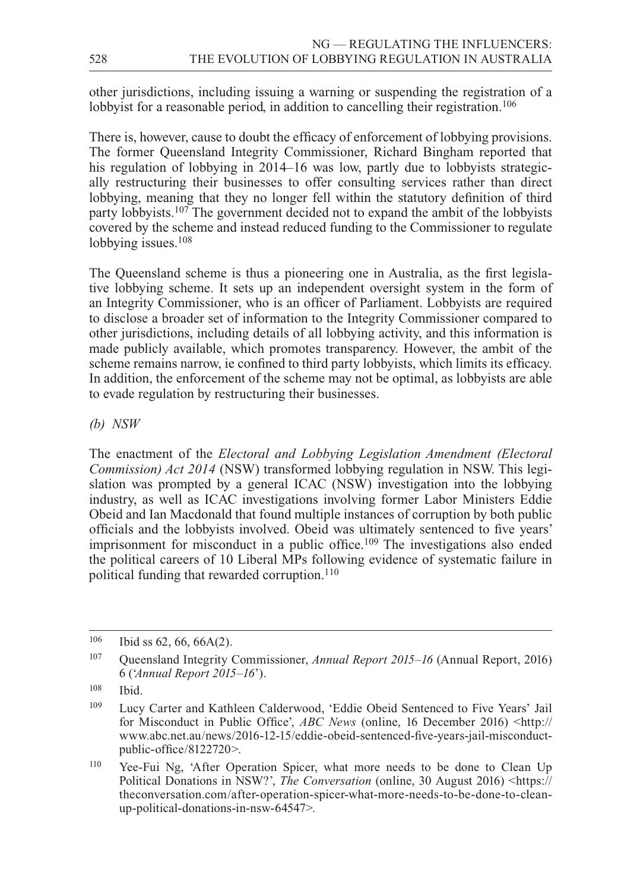other jurisdictions, including issuing a warning or suspending the registration of a lobbyist for a reasonable period, in addition to cancelling their registration.<sup>106</sup>

There is, however, cause to doubt the efficacy of enforcement of lobbying provisions. The former Queensland Integrity Commissioner, Richard Bingham reported that his regulation of lobbying in 2014–16 was low, partly due to lobbyists strategically restructuring their businesses to offer consulting services rather than direct lobbying, meaning that they no longer fell within the statutory definition of third party lobbyists.107 The government decided not to expand the ambit of the lobbyists covered by the scheme and instead reduced funding to the Commissioner to regulate lobbying issues.<sup>108</sup>

The Queensland scheme is thus a pioneering one in Australia, as the first legislative lobbying scheme. It sets up an independent oversight system in the form of an Integrity Commissioner, who is an officer of Parliament. Lobbyists are required to disclose a broader set of information to the Integrity Commissioner compared to other jurisdictions, including details of all lobbying activity, and this information is made publicly available, which promotes transparency. However, the ambit of the scheme remains narrow, ie confined to third party lobbyists, which limits its efficacy. In addition, the enforcement of the scheme may not be optimal, as lobbyists are able to evade regulation by restructuring their businesses.

*(b) NSW*

The enactment of the *Electoral and Lobbying Legislation Amendment (Electoral Commission) Act 2014* (NSW) transformed lobbying regulation in NSW. This legislation was prompted by a general ICAC (NSW) investigation into the lobbying industry, as well as ICAC investigations involving former Labor Ministers Eddie Obeid and Ian Macdonald that found multiple instances of corruption by both public officials and the lobbyists involved. Obeid was ultimately sentenced to five years' imprisonment for misconduct in a public office.<sup>109</sup> The investigations also ended the political careers of 10 Liberal MPs following evidence of systematic failure in political funding that rewarded corruption.<sup>110</sup>

 $106$  Ibid ss 62, 66, 66A(2).

<sup>107</sup> Queensland Integrity Commissioner, *Annual Report 2015–16* (Annual Report, 2016) 6 ('*Annual Report 2015–16*').

<sup>108</sup> Ibid.

<sup>109</sup> Lucy Carter and Kathleen Calderwood, 'Eddie Obeid Sentenced to Five Years' Jail for Misconduct in Public Office', *ABC News* (online, 16 December 2016) <[http://](http://www.abc.net.au/news/2016--12--15/eddie--obeid--sentenced--five--years--jail--misconduct--public--office/8122720) [www.abc.net.au/news/2016-12-15/eddie-obeid-sentenced-five-years-jail-misconduct](http://www.abc.net.au/news/2016--12--15/eddie--obeid--sentenced--five--years--jail--misconduct--public--office/8122720)[public-office/8122720](http://www.abc.net.au/news/2016--12--15/eddie--obeid--sentenced--five--years--jail--misconduct--public--office/8122720)>.

<sup>110</sup> Yee-Fui Ng, 'After Operation Spicer, what more needs to be done to Clean Up Political Donations in NSW?', *The Conversation* (online, 30 August 2016) <[https://](https://theconversation.com/after--operation--spicer--what--more--needs--to--be--done--to--clean--up--political--donations--in--nsw--64547) [theconversation.com/after-operation-spicer-what-more-needs-to-be-done-to-clean](https://theconversation.com/after--operation--spicer--what--more--needs--to--be--done--to--clean--up--political--donations--in--nsw--64547)[up-political-donations-in-nsw-64547](https://theconversation.com/after--operation--spicer--what--more--needs--to--be--done--to--clean--up--political--donations--in--nsw--64547)>.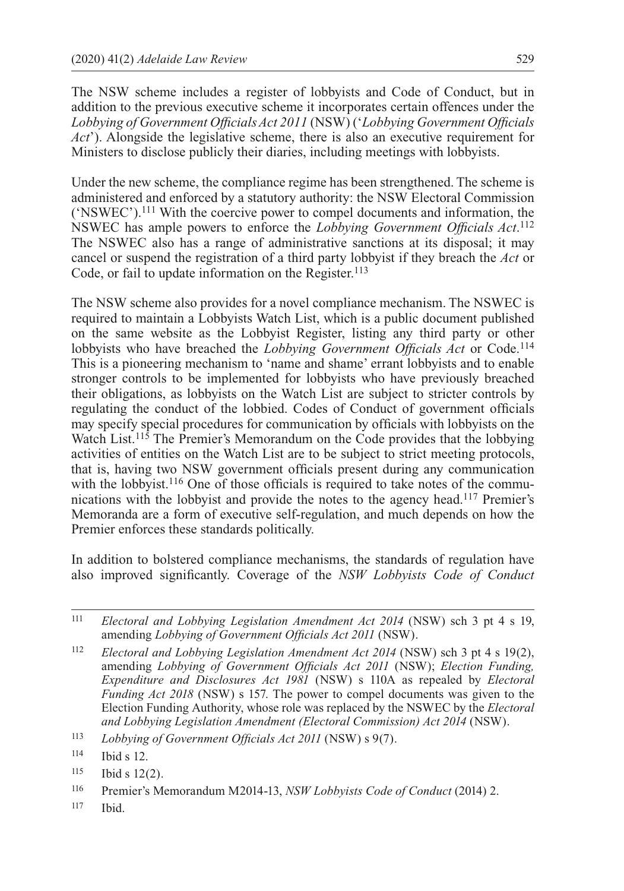The NSW scheme includes a register of lobbyists and Code of Conduct, but in addition to the previous executive scheme it incorporates certain offences under the *Lobbying of Government Officials Act 2011* (NSW) ('*Lobbying Government Officials Act*'). Alongside the legislative scheme, there is also an executive requirement for Ministers to disclose publicly their diaries, including meetings with lobbyists.

Under the new scheme, the compliance regime has been strengthened. The scheme is administered and enforced by a statutory authority: the NSW Electoral Commission ('NSWEC').111 With the coercive power to compel documents and information, the NSWEC has ample powers to enforce the *Lobbying Government Officials Act*. 112 The NSWEC also has a range of administrative sanctions at its disposal; it may cancel or suspend the registration of a third party lobbyist if they breach the *Act* or Code, or fail to update information on the Register.<sup>113</sup>

The NSW scheme also provides for a novel compliance mechanism. The NSWEC is required to maintain a Lobbyists Watch List, which is a public document published on the same website as the Lobbyist Register, listing any third party or other lobbyists who have breached the *Lobbying Government Officials Act* or Code.114 This is a pioneering mechanism to 'name and shame' errant lobbyists and to enable stronger controls to be implemented for lobbyists who have previously breached their obligations, as lobbyists on the Watch List are subject to stricter controls by regulating the conduct of the lobbied. Codes of Conduct of government officials may specify special procedures for communication by officials with lobbyists on the Watch List.<sup>115</sup> The Premier's Memorandum on the Code provides that the lobbying activities of entities on the Watch List are to be subject to strict meeting protocols, that is, having two NSW government officials present during any communication with the lobbyist.<sup>116</sup> One of those officials is required to take notes of the communications with the lobbyist and provide the notes to the agency head.117 Premier's Memoranda are a form of executive self-regulation, and much depends on how the Premier enforces these standards politically.

In addition to bolstered compliance mechanisms, the standards of regulation have also improved significantly. Coverage of the *NSW Lobbyists Code of Conduct*

 $117$  Ibid.

<sup>111</sup> *Electoral and Lobbying Legislation Amendment Act 2014* (NSW) sch 3 pt 4 s 19, amending *Lobbying of Government Officials Act 2011* (NSW).

<sup>112</sup> *Electoral and Lobbying Legislation Amendment Act 2014* (NSW) sch 3 pt 4 s 19(2), amending *Lobbying of Government Officials Act 2011* (NSW); *Election Funding, Expenditure and Disclosures Act 1981* (NSW) s 110A as repealed by *Electoral Funding Act 2018* (NSW) s 157. The power to compel documents was given to the Election Funding Authority, whose role was replaced by the NSWEC by the *Electoral and Lobbying Legislation Amendment (Electoral Commission) Act 2014* (NSW).

<sup>113</sup> *Lobbying of Government Officials Act 2011* (NSW) s 9(7).

<sup>114</sup> Ibid s 12.

<sup>115</sup> Ibid s 12(2).

<sup>116</sup> Premier's Memorandum M2014-13, *NSW Lobbyists Code of Conduct* (2014) 2.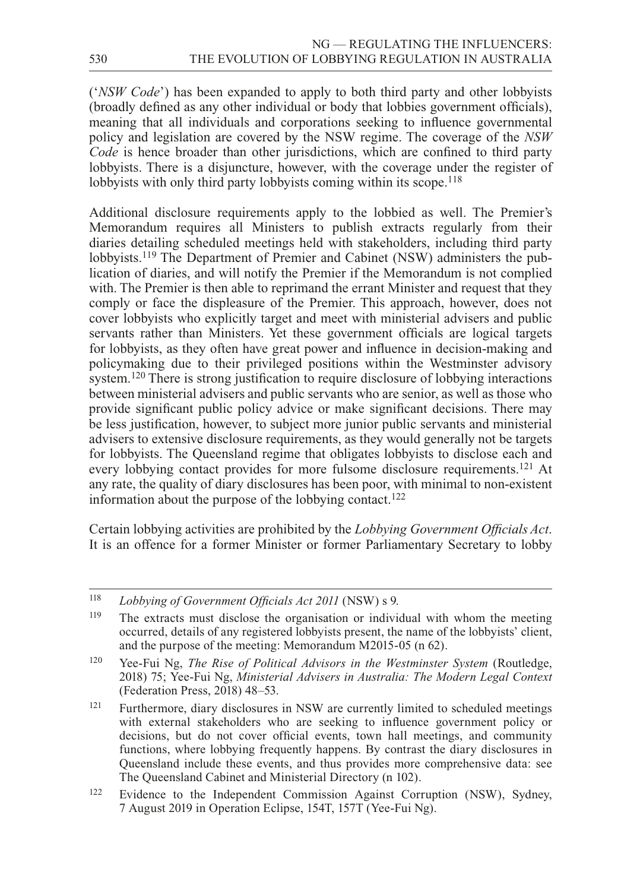('*NSW Code*') has been expanded to apply to both third party and other lobbyists (broadly defined as any other individual or body that lobbies government officials), meaning that all individuals and corporations seeking to influence governmental policy and legislation are covered by the NSW regime. The coverage of the *NSW Code* is hence broader than other jurisdictions, which are confined to third party lobbyists. There is a disjuncture, however, with the coverage under the register of lobbyists with only third party lobbyists coming within its scope.<sup>118</sup>

Additional disclosure requirements apply to the lobbied as well. The Premier's Memorandum requires all Ministers to publish extracts regularly from their diaries detailing scheduled meetings held with stakeholders, including third party lobbyists.<sup>119</sup> The Department of Premier and Cabinet (NSW) administers the publication of diaries, and will notify the Premier if the Memorandum is not complied with. The Premier is then able to reprimand the errant Minister and request that they comply or face the displeasure of the Premier. This approach, however, does not cover lobbyists who explicitly target and meet with ministerial advisers and public servants rather than Ministers. Yet these government officials are logical targets for lobbyists, as they often have great power and influence in decision-making and policymaking due to their privileged positions within the Westminster advisory system.<sup>120</sup> There is strong justification to require disclosure of lobbying interactions between ministerial advisers and public servants who are senior, as well as those who provide significant public policy advice or make significant decisions. There may be less justification, however, to subject more junior public servants and ministerial advisers to extensive disclosure requirements, as they would generally not be targets for lobbyists. The Queensland regime that obligates lobbyists to disclose each and every lobbying contact provides for more fulsome disclosure requirements.<sup>121</sup> At any rate, the quality of diary disclosures has been poor, with minimal to non-existent information about the purpose of the lobbying contact.<sup>122</sup>

Certain lobbying activities are prohibited by the *Lobbying Government Officials Act*. It is an offence for a former Minister or former Parliamentary Secretary to lobby

<sup>121</sup> Furthermore, diary disclosures in NSW are currently limited to scheduled meetings with external stakeholders who are seeking to influence government policy or decisions, but do not cover official events, town hall meetings, and community functions, where lobbying frequently happens. By contrast the diary disclosures in Queensland include these events, and thus provides more comprehensive data: see The Queensland Cabinet and Ministerial Directory (n 102).

<sup>118</sup> *Lobbying of Government Officials Act 2011* (NSW) s 9.

<sup>119</sup> The extracts must disclose the organisation or individual with whom the meeting occurred, details of any registered lobbyists present, the name of the lobbyists' client, and the purpose of the meeting: Memorandum M2015-05 (n 62).

<sup>&</sup>lt;sup>120</sup> Yee-Fui Ng, *The Rise of Political Advisors in the Westminster System* (Routledge, 2018) 75; Yee-Fui Ng, *Ministerial Advisers in Australia: The Modern Legal Context*  (Federation Press, 2018) 48–53.

<sup>122</sup> Evidence to the Independent Commission Against Corruption (NSW), Sydney, 7 August 2019 in Operation Eclipse, 154T, 157T (Yee-Fui Ng).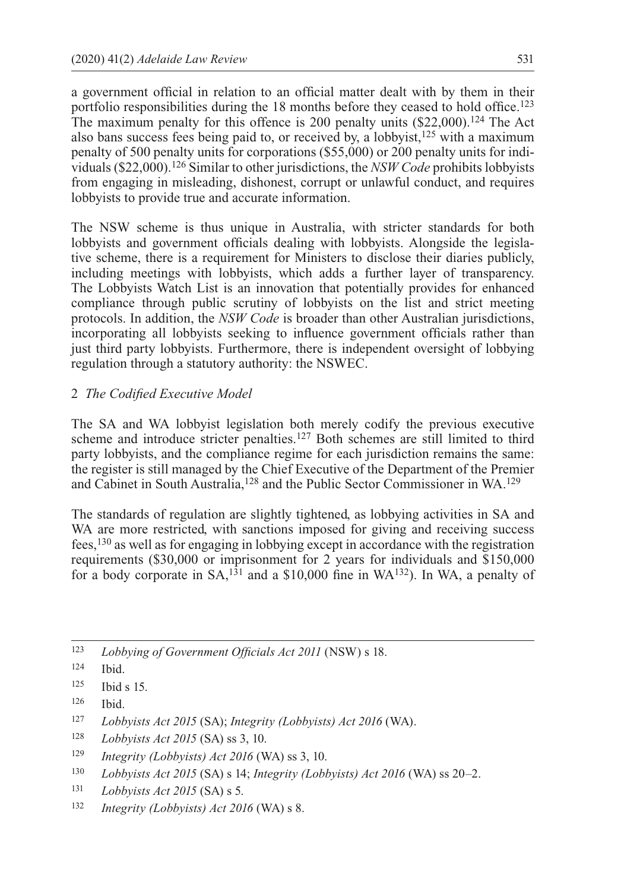a government official in relation to an official matter dealt with by them in their portfolio responsibilities during the 18 months before they ceased to hold office.123 The maximum penalty for this offence is 200 penalty units  $(\$22,000).<sup>124</sup>$  The Act also bans success fees being paid to, or received by, a lobbyist, $125$  with a maximum penalty of 500 penalty units for corporations (\$55,000) or 200 penalty units for individuals (\$22,000).126 Similar to other jurisdictions, the *NSW Code* prohibits lobbyists from engaging in misleading, dishonest, corrupt or unlawful conduct, and requires lobbyists to provide true and accurate information.

The NSW scheme is thus unique in Australia, with stricter standards for both lobbyists and government officials dealing with lobbyists. Alongside the legislative scheme, there is a requirement for Ministers to disclose their diaries publicly, including meetings with lobbyists, which adds a further layer of transparency. The Lobbyists Watch List is an innovation that potentially provides for enhanced compliance through public scrutiny of lobbyists on the list and strict meeting protocols. In addition, the *NSW Code* is broader than other Australian jurisdictions, incorporating all lobbyists seeking to influence government officials rather than just third party lobbyists. Furthermore, there is independent oversight of lobbying regulation through a statutory authority: the NSWEC.

#### 2 *The Codified Executive Model*

The SA and WA lobbyist legislation both merely codify the previous executive scheme and introduce stricter penalties.127 Both schemes are still limited to third party lobbyists, and the compliance regime for each jurisdiction remains the same: the register is still managed by the Chief Executive of the Department of the Premier and Cabinet in South Australia,128 and the Public Sector Commissioner in WA.129

The standards of regulation are slightly tightened, as lobbying activities in SA and WA are more restricted, with sanctions imposed for giving and receiving success fees,130 as well as for engaging in lobbying except in accordance with the registration requirements (\$30,000 or imprisonment for 2 years for individuals and \$150,000 for a body corporate in  $SA^{131}$  and a \$10,000 fine in WA<sup>132</sup>). In WA, a penalty of

<sup>126</sup> Ibid.

<sup>123</sup> *Lobbying of Government Officials Act 2011* (NSW) s 18.

<sup>124</sup> Ibid.

<sup>125</sup> Ibid s 15.

<sup>127</sup> *Lobbyists Act 2015* (SA); *Integrity (Lobbyists) Act 2016* (WA).

<sup>128</sup> *Lobbyists Act 2015* (SA) ss 3, 10.

<sup>129</sup> *Integrity (Lobbyists) Act 2016* (WA) ss 3, 10.

<sup>130</sup> *Lobbyists Act 2015* (SA) s 14; *Integrity (Lobbyists) Act 2016* (WA) ss 20–2.

<sup>131</sup> *Lobbyists Act 2015* (SA) s 5.

<sup>132</sup> *Integrity (Lobbyists) Act 2016* (WA) s 8.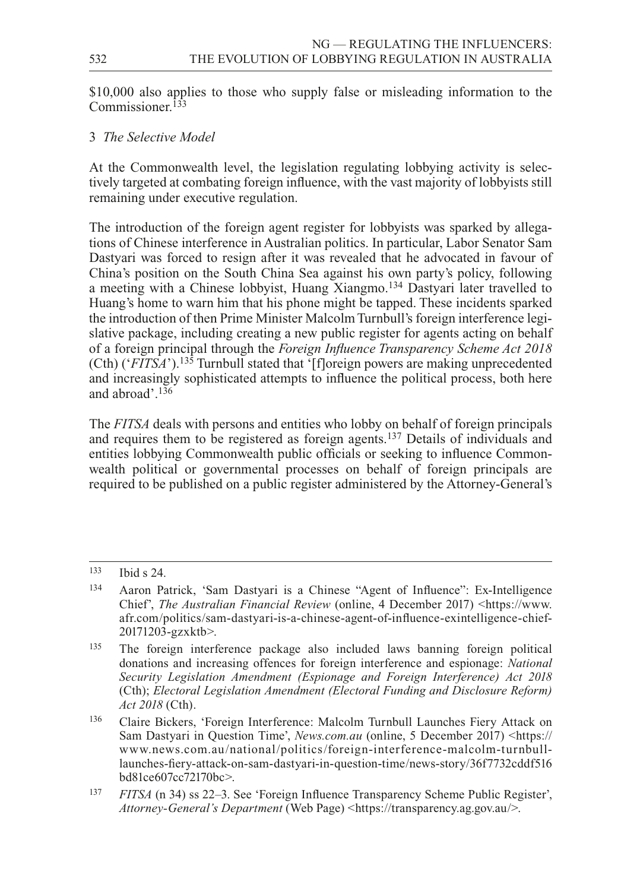\$10,000 also applies to those who supply false or misleading information to the Commissioner.<sup>133</sup>

## 3 *The Selective Model*

At the Commonwealth level, the legislation regulating lobbying activity is selectively targeted at combating foreign influence, with the vast majority of lobbyists still remaining under executive regulation.

The introduction of the foreign agent register for lobbyists was sparked by allegations of Chinese interference in Australian politics. In particular, Labor Senator Sam Dastyari was forced to resign after it was revealed that he advocated in favour of China's position on the South China Sea against his own party's policy, following a meeting with a Chinese lobbyist, Huang Xiangmo.134 Dastyari later travelled to Huang's home to warn him that his phone might be tapped. These incidents sparked the introduction of then Prime Minister Malcolm Turnbull's foreign interference legislative package, including creating a new public register for agents acting on behalf of a foreign principal through the *Foreign Influence Transparency Scheme Act 2018*   $(Ch)$  (' $FITSA$ ').<sup>135</sup> Turnbull stated that '[f]oreign powers are making unprecedented and increasingly sophisticated attempts to influence the political process, both here and abroad'.136

The *FITSA* deals with persons and entities who lobby on behalf of foreign principals and requires them to be registered as foreign agents.<sup>137</sup> Details of individuals and entities lobbying Commonwealth public officials or seeking to influence Commonwealth political or governmental processes on behalf of foreign principals are required to be published on a public register administered by the Attorney-General's

<sup>133</sup> Ibid s 24.

<sup>134</sup> Aaron Patrick, 'Sam Dastyari is a Chinese "Agent of Influence": Ex-Intelligence Chief', *The Australian Financial Review* (online, 4 December 2017) [<https://www.](https://www.afr.com/politics/sam--dastyari--is--a--chinese--agent--of--influence--exintelligence--chief--20171203--gzxktb) [afr.com/politics/sam-dastyari-is-a-chinese-agent-of-influence-exintelligence-chief-](https://www.afr.com/politics/sam--dastyari--is--a--chinese--agent--of--influence--exintelligence--chief--20171203--gzxktb)[20171203-gzxktb>](https://www.afr.com/politics/sam--dastyari--is--a--chinese--agent--of--influence--exintelligence--chief--20171203--gzxktb).

<sup>135</sup> The foreign interference package also included laws banning foreign political donations and increasing offences for foreign interference and espionage: *National Security Legislation Amendment (Espionage and Foreign Interference) Act 2018* (Cth); *Electoral Legislation Amendment (Electoral Funding and Disclosure Reform) Act 2018* (Cth).

<sup>136</sup> Claire Bickers, 'Foreign Interference: Malcolm Turnbull Launches Fiery Attack on Sam Dastyari in Question Time', *News.com.au* (online, 5 December 2017) <[https://](https://www.news.com.au/national/politics/foreign--interference--malcolm--turnbull--launches--fiery--attack--on--sam--dastyari--in--question--time/news--story/36f7732cddf516bd81ce607cc72170bc) [www.news.com.au/national/politics/foreign-interference-malcolm-turnbull](https://www.news.com.au/national/politics/foreign--interference--malcolm--turnbull--launches--fiery--attack--on--sam--dastyari--in--question--time/news--story/36f7732cddf516bd81ce607cc72170bc)[launches-fiery-attack-on-sam-dastyari-in-question-time/news-story/36f7732cddf516](https://www.news.com.au/national/politics/foreign--interference--malcolm--turnbull--launches--fiery--attack--on--sam--dastyari--in--question--time/news--story/36f7732cddf516bd81ce607cc72170bc) [bd81ce607cc72170bc](https://www.news.com.au/national/politics/foreign--interference--malcolm--turnbull--launches--fiery--attack--on--sam--dastyari--in--question--time/news--story/36f7732cddf516bd81ce607cc72170bc)>.

<sup>137</sup> *FITSA* (n 34) ss 22–3. See 'Foreign Influence Transparency Scheme Public Register', *Attorney-General's Department* (Web Page) <[https://transparency.ag.gov.au/](https://transparency.ag.gov.au)>.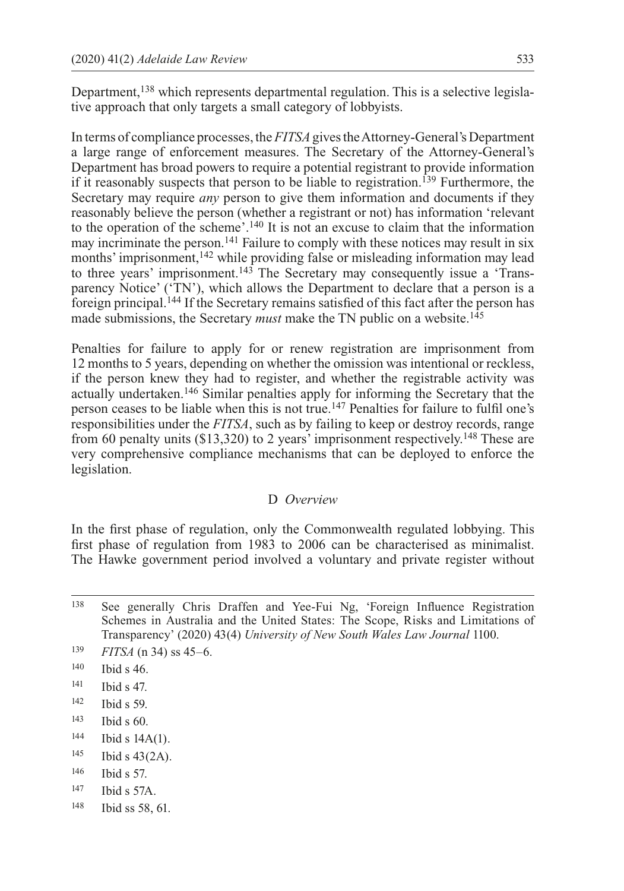Department,138 which represents departmental regulation. This is a selective legislative approach that only targets a small category of lobbyists.

In terms of compliance processes, the *FITSA* gives the Attorney-General's Department a large range of enforcement measures. The Secretary of the Attorney-General's Department has broad powers to require a potential registrant to provide information if it reasonably suspects that person to be liable to registration.139 Furthermore, the Secretary may require *any* person to give them information and documents if they reasonably believe the person (whether a registrant or not) has information 'relevant to the operation of the scheme'.140 It is not an excuse to claim that the information may incriminate the person.141 Failure to comply with these notices may result in six months' imprisonment,<sup>142</sup> while providing false or misleading information may lead to three years' imprisonment.<sup>143</sup> The Secretary may consequently issue a 'Transparency Notice' ('TN'), which allows the Department to declare that a person is a foreign principal.144 If the Secretary remains satisfied of this fact after the person has made submissions, the Secretary *must* make the TN public on a website.<sup>145</sup>

Penalties for failure to apply for or renew registration are imprisonment from 12 months to 5 years, depending on whether the omission was intentional or reckless, if the person knew they had to register, and whether the registrable activity was actually undertaken.146 Similar penalties apply for informing the Secretary that the person ceases to be liable when this is not true.147 Penalties for failure to fulfil one's responsibilities under the *FITSA*, such as by failing to keep or destroy records, range from 60 penalty units (\$13,320) to 2 years' imprisonment respectively.148 These are very comprehensive compliance mechanisms that can be deployed to enforce the legislation.

#### D *Overview*

In the first phase of regulation, only the Commonwealth regulated lobbying. This first phase of regulation from 1983 to 2006 can be characterised as minimalist. The Hawke government period involved a voluntary and private register without

<sup>138</sup> See generally Chris Draffen and Yee-Fui Ng, 'Foreign Influence Registration Schemes in Australia and the United States: The Scope, Risks and Limitations of Transparency' (2020) 43(4) *University of New South Wales Law Journal* 1100.

- <sup>143</sup> Ibid s 60.
- <sup>144</sup> Ibid s 14A(1).
- <sup>145</sup> Ibid s 43(2A).
- <sup>146</sup> Ibid s 57.
- <sup>147</sup> Ibid s 57A.
- <sup>148</sup> Ibid ss 58, 61.

<sup>139</sup> *FITSA* (n 34) ss 45–6.

<sup>140</sup> Ibid s 46.

<sup>141</sup> Ibid s 47.

<sup>142</sup> Ibid s 59.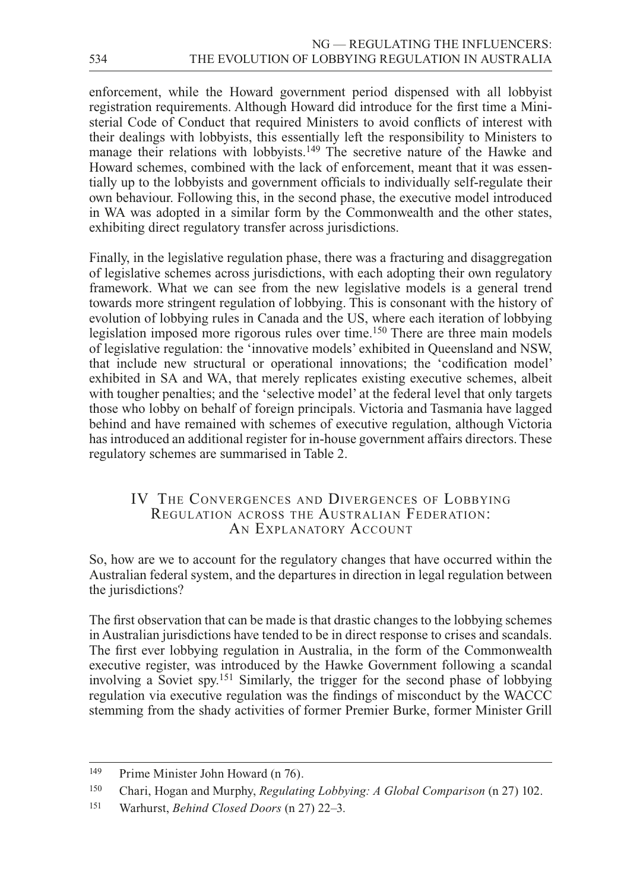enforcement, while the Howard government period dispensed with all lobbyist registration requirements. Although Howard did introduce for the first time a Ministerial Code of Conduct that required Ministers to avoid conflicts of interest with their dealings with lobbyists, this essentially left the responsibility to Ministers to manage their relations with lobbyists.<sup>149</sup> The secretive nature of the Hawke and Howard schemes, combined with the lack of enforcement, meant that it was essentially up to the lobbyists and government officials to individually self-regulate their own behaviour. Following this, in the second phase, the executive model introduced in WA was adopted in a similar form by the Commonwealth and the other states, exhibiting direct regulatory transfer across jurisdictions.

Finally, in the legislative regulation phase, there was a fracturing and disaggregation of legislative schemes across jurisdictions, with each adopting their own regulatory framework. What we can see from the new legislative models is a general trend towards more stringent regulation of lobbying. This is consonant with the history of evolution of lobbying rules in Canada and the US, where each iteration of lobbying legislation imposed more rigorous rules over time.<sup>150</sup> There are three main models of legislative regulation: the 'innovative models' exhibited in Queensland and NSW, that include new structural or operational innovations; the 'codification model' exhibited in SA and WA, that merely replicates existing executive schemes, albeit with tougher penalties; and the 'selective model' at the federal level that only targets those who lobby on behalf of foreign principals. Victoria and Tasmania have lagged behind and have remained with schemes of executive regulation, although Victoria has introduced an additional register for in-house government affairs directors. These regulatory schemes are summarised in Table 2.

## IV The Convergences and Divergences of Lobbying Regulation across the Australian Federation: AN EXPLANATORY ACCOUNT

So, how are we to account for the regulatory changes that have occurred within the Australian federal system, and the departures in direction in legal regulation between the jurisdictions?

The first observation that can be made is that drastic changes to the lobbying schemes in Australian jurisdictions have tended to be in direct response to crises and scandals. The first ever lobbying regulation in Australia, in the form of the Commonwealth executive register, was introduced by the Hawke Government following a scandal involving a Soviet spy.151 Similarly, the trigger for the second phase of lobbying regulation via executive regulation was the findings of misconduct by the WACCC stemming from the shady activities of former Premier Burke, former Minister Grill

<sup>149</sup> Prime Minister John Howard (n 76).

<sup>150</sup> Chari, Hogan and Murphy, *Regulating Lobbying: A Global Comparison* (n 27) 102.

<sup>151</sup> Warhurst, *Behind Closed Doors* (n 27) 22–3.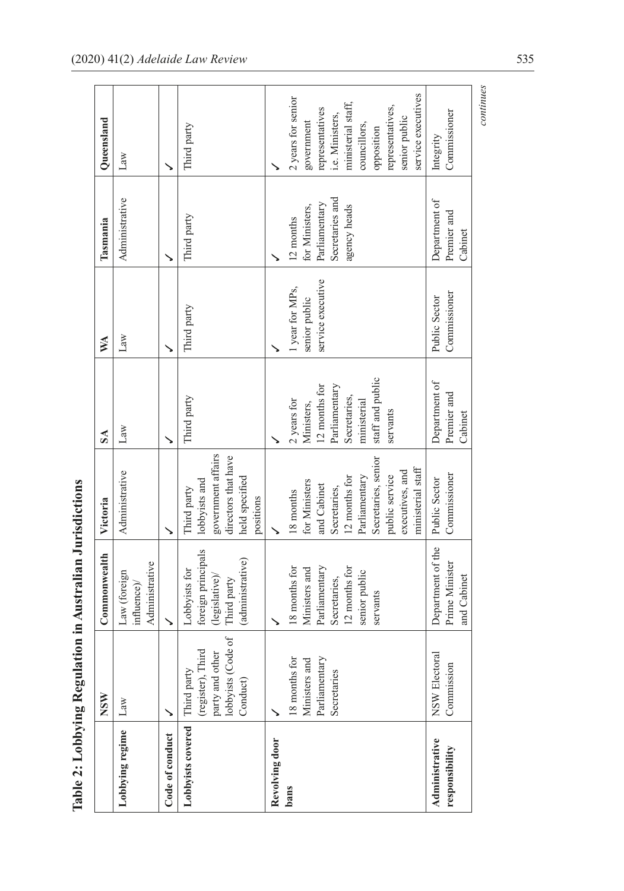|                                  |                                                                                                    | Table 2: Lobbying Regulation in Australian Jurisdictions                                                      |                                                                                                                                                                              |                                                                                                                            |                                                       |                                                                                 |                                                                                                                                                                                       |
|----------------------------------|----------------------------------------------------------------------------------------------------|---------------------------------------------------------------------------------------------------------------|------------------------------------------------------------------------------------------------------------------------------------------------------------------------------|----------------------------------------------------------------------------------------------------------------------------|-------------------------------------------------------|---------------------------------------------------------------------------------|---------------------------------------------------------------------------------------------------------------------------------------------------------------------------------------|
|                                  | <b>NSW</b>                                                                                         | Commonwealth                                                                                                  | Victoria                                                                                                                                                                     | S <sub>A</sub>                                                                                                             | XX                                                    | Tasmania                                                                        | Queensland                                                                                                                                                                            |
| Lobbying regime                  | Law                                                                                                | Administrative<br>Law (foreign<br>influence)/                                                                 | Administrative                                                                                                                                                               | $\rm Law$                                                                                                                  | Law                                                   | Administrative                                                                  | Law                                                                                                                                                                                   |
| Code of conduct                  |                                                                                                    |                                                                                                               |                                                                                                                                                                              |                                                                                                                            |                                                       |                                                                                 |                                                                                                                                                                                       |
| Lobbyists covered                | $\sigma$ f<br>(register), Third<br>party and other<br>lobbyists (Code o<br>Third party<br>Conduct) | foreign principals<br>(administrative)<br>Lobbyists for<br>(legislative)<br>Third party                       | government affairs<br>directors that have<br>held specified<br>lobbyists and<br>Third party<br>positions                                                                     | Third party                                                                                                                | Third party                                           | Third party                                                                     | Third party                                                                                                                                                                           |
| Revolving door<br>bans           | 8 months for<br>Parliamentary<br>Ministers and<br>Secretaries                                      | 18 months for<br>12 months for<br>Parliamentary<br>Ministers and<br>senior public<br>Secretaries,<br>servants | Secretaries, senior<br>ministerial staff<br>executives, and<br>12 months for<br>Parliamentary<br>public service<br>for Ministers<br>and Cabinet<br>Secretaries,<br>18 months | staff and public<br>12 months for<br>Parliamentary<br>Secretaries,<br>2 years for<br>ministerial<br>Ministers,<br>servants | service executive<br>1 year for MPs,<br>senior public | Secretaries and<br>Parliamentary<br>agency heads<br>for Ministers,<br>12 months | service executives<br>2 years for senior<br>ministerial staff,<br>representatives,<br>representatives<br>i.e. Ministers,<br>senior public<br>government<br>councillors,<br>opposition |
| Administrative<br>responsibility | NSW Electoral<br>Commission                                                                        | Department of the<br>Prime Minister<br>and Cabinet                                                            | Commissioner<br>Public Sector                                                                                                                                                | Department of<br>Premier and<br>Cabinet                                                                                    | Commissioner<br>Public Sector                         | Department of<br>Premier and<br>Cabinet                                         | Commissioner<br>Integrity                                                                                                                                                             |
|                                  |                                                                                                    |                                                                                                               |                                                                                                                                                                              |                                                                                                                            |                                                       |                                                                                 | continues                                                                                                                                                                             |

|   | ۱<br>ا                                         |
|---|------------------------------------------------|
| i | į<br>ĺ<br>l                                    |
|   | Ē<br>$\frac{1}{2}$                             |
|   | D<br>ſ<br>- 1<br>- 1<br>- 1<br>- 1<br>- 1<br>ℷ |
| ŀ |                                                |
| ł | iy an                                          |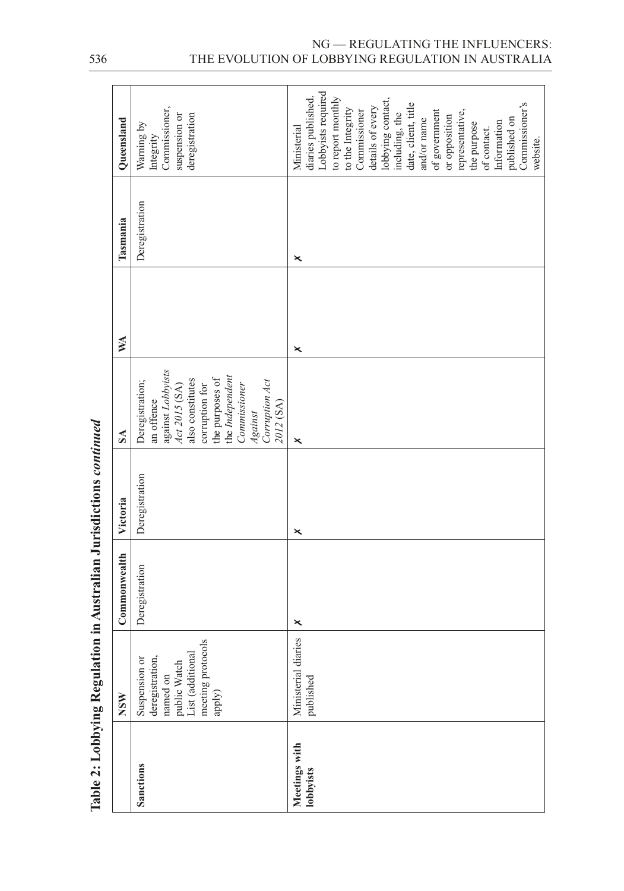|                            | Table 2: Lobbying Regulation in Australian Jurisdictions <i>continued</i>                                       |                |                |                                                                                                                                                                                                                  |    |                |                                                                                                                                                                                                                                                                                                                                                                   |
|----------------------------|-----------------------------------------------------------------------------------------------------------------|----------------|----------------|------------------------------------------------------------------------------------------------------------------------------------------------------------------------------------------------------------------|----|----------------|-------------------------------------------------------------------------------------------------------------------------------------------------------------------------------------------------------------------------------------------------------------------------------------------------------------------------------------------------------------------|
|                            | NSW                                                                                                             | Commonwealth   | Victoria       | $S_{\Lambda}$                                                                                                                                                                                                    | XX | Tasmania       | Queensland                                                                                                                                                                                                                                                                                                                                                        |
| Sanctions                  | meeting protocols<br>List (additional<br>deregistration,<br>Suspension or<br>named on<br>public Watch<br>apply) | Deregistration | Deregistration | against Lobbyists<br>Act 2015 (SA)<br>the Independent<br>the purposes of<br>also constitutes<br>Corruption Act<br>Deregistration;<br><b>Commissioner</b><br>corruption for<br>an offence<br>2012 (SA)<br>Against |    | Deregistration | Commissioner,<br>suspension or<br>deregistration<br>Warning by<br>Integrity                                                                                                                                                                                                                                                                                       |
| Meetings with<br>lobbyists | Ministerial diaries<br>published                                                                                | ×              | ×              | ×                                                                                                                                                                                                                | ×  | ×              | Lobbyists required<br>diaries published.<br>to report monthly<br>lobbying contact,<br>date, client, title<br>Commissioner's<br>details of every<br>to the Integrity<br>Commissioner<br>of government<br>representative,<br>including, the<br>or opposition<br>published on<br>and/or name<br>Information<br>the purpose<br>Ministerial<br>of contact.<br>website. |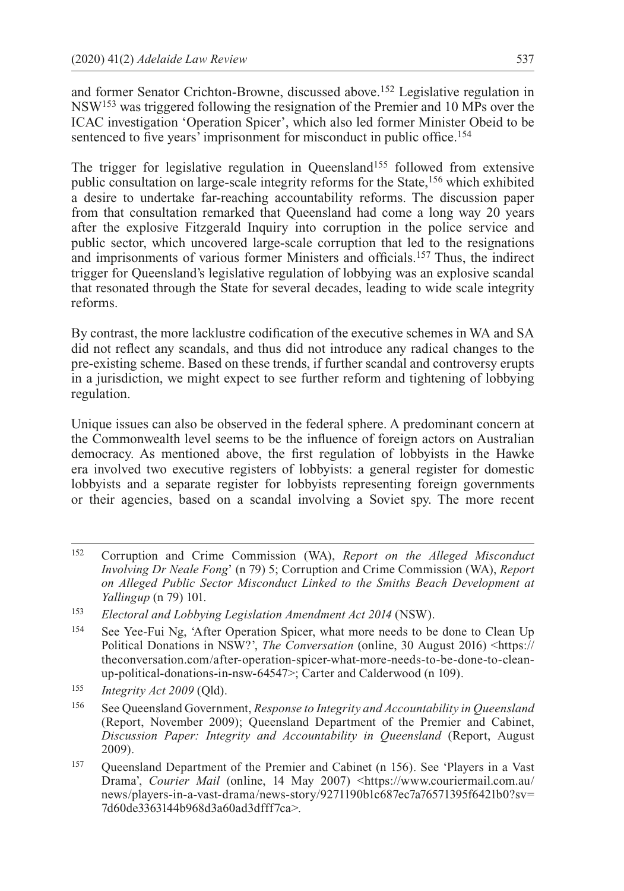and former Senator Crichton-Browne, discussed above.152 Legislative regulation in NSW153 was triggered following the resignation of the Premier and 10 MPs over the ICAC investigation 'Operation Spicer', which also led former Minister Obeid to be sentenced to five years' imprisonment for misconduct in public office.<sup>154</sup>

The trigger for legislative regulation in Queensland<sup>155</sup> followed from extensive public consultation on large-scale integrity reforms for the State,156 which exhibited a desire to undertake far-reaching accountability reforms. The discussion paper from that consultation remarked that Queensland had come a long way 20 years after the explosive Fitzgerald Inquiry into corruption in the police service and public sector, which uncovered large-scale corruption that led to the resignations and imprisonments of various former Ministers and officials.157 Thus, the indirect trigger for Queensland's legislative regulation of lobbying was an explosive scandal that resonated through the State for several decades, leading to wide scale integrity reforms.

By contrast, the more lacklustre codification of the executive schemes in WA and SA did not reflect any scandals, and thus did not introduce any radical changes to the pre-existing scheme. Based on these trends, if further scandal and controversy erupts in a jurisdiction, we might expect to see further reform and tightening of lobbying regulation.

Unique issues can also be observed in the federal sphere. A predominant concern at the Commonwealth level seems to be the influence of foreign actors on Australian democracy. As mentioned above, the first regulation of lobbyists in the Hawke era involved two executive registers of lobbyists: a general register for domestic lobbyists and a separate register for lobbyists representing foreign governments or their agencies, based on a scandal involving a Soviet spy. The more recent

- <sup>152</sup> Corruption and Crime Commission (WA), *Report on the Alleged Misconduct Involving Dr Neale Fong*' (n 79) 5; Corruption and Crime Commission (WA), *Report on Alleged Public Sector Misconduct Linked to the Smiths Beach Development at Yallingup* (n 79) 101.
- <sup>153</sup> *Electoral and Lobbying Legislation Amendment Act 2014* (NSW).
- <sup>154</sup> See Yee-Fui Ng, 'After Operation Spicer, what more needs to be done to Clean Up Political Donations in NSW?', *The Conversation* (online, 30 August 2016) [<https://](https://theconversation.com/after--operation--spicer--what--more--needs--to--be--done--to--clean--up--political--donations--in--nsw--64547) [theconversation.com/after-operation-spicer-what-more-needs-to-be-done-to-clean](https://theconversation.com/after--operation--spicer--what--more--needs--to--be--done--to--clean--up--political--donations--in--nsw--64547)[up-political-donations-in-nsw-64547](https://theconversation.com/after--operation--spicer--what--more--needs--to--be--done--to--clean--up--political--donations--in--nsw--64547)>; Carter and Calderwood (n 109).
- <sup>155</sup> *Integrity Act 2009* (Qld).
- <sup>156</sup> See Queensland Government, *Response to Integrity and Accountability in Queensland* (Report, November 2009); Queensland Department of the Premier and Cabinet, *Discussion Paper: Integrity and Accountability in Queensland* (Report, August 2009).
- <sup>157</sup> Queensland Department of the Premier and Cabinet (n 156). See 'Players in a Vast Drama', *Courier Mail* (online, 14 May 2007) <[https://www.couriermail.com.au/](https://www.couriermail.com.au/news/players--in--a--vast--drama/news--story/9271190b1c687ec7a76571395f6421b0?sv=7d60de3363144b968d3a60ad3dfff7ca) [news/players-in-a-vast-drama/news-story/9271190b1c687ec7a76571395f6421b0?sv=](https://www.couriermail.com.au/news/players--in--a--vast--drama/news--story/9271190b1c687ec7a76571395f6421b0?sv=7d60de3363144b968d3a60ad3dfff7ca) [7d60de3363144b968d3a60ad3dfff7ca>](https://www.couriermail.com.au/news/players--in--a--vast--drama/news--story/9271190b1c687ec7a76571395f6421b0?sv=7d60de3363144b968d3a60ad3dfff7ca).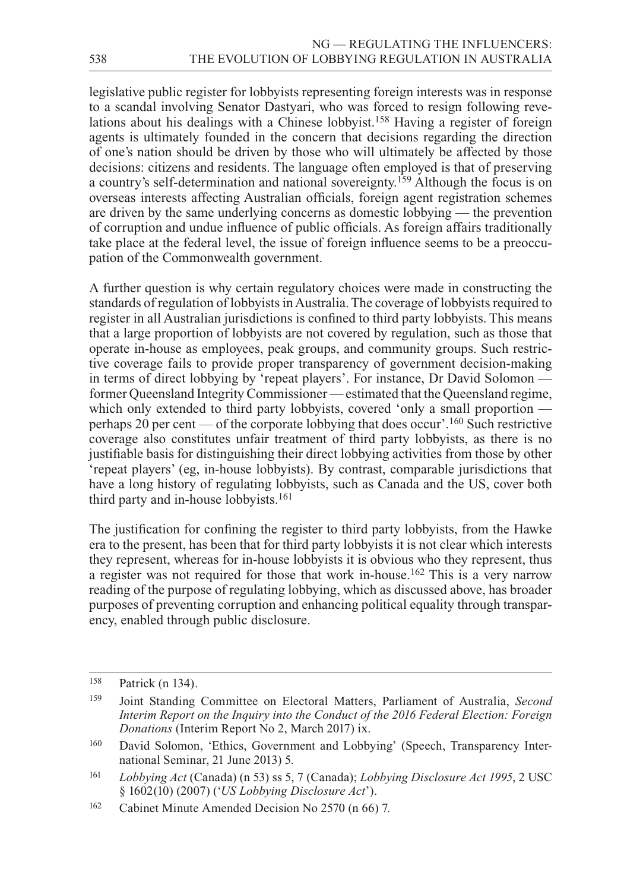legislative public register for lobbyists representing foreign interests was in response to a scandal involving Senator Dastyari, who was forced to resign following revelations about his dealings with a Chinese lobbyist.<sup>158</sup> Having a register of foreign agents is ultimately founded in the concern that decisions regarding the direction of one's nation should be driven by those who will ultimately be affected by those decisions: citizens and residents. The language often employed is that of preserving a country's self-determination and national sovereignty.159 Although the focus is on overseas interests affecting Australian officials, foreign agent registration schemes are driven by the same underlying concerns as domestic lobbying — the prevention of corruption and undue influence of public officials. As foreign affairs traditionally take place at the federal level, the issue of foreign influence seems to be a preoccupation of the Commonwealth government.

A further question is why certain regulatory choices were made in constructing the standards of regulation of lobbyists in Australia. The coverage of lobbyists required to register in all Australian jurisdictions is confined to third party lobbyists. This means that a large proportion of lobbyists are not covered by regulation, such as those that operate in-house as employees, peak groups, and community groups. Such restrictive coverage fails to provide proper transparency of government decision-making in terms of direct lobbying by 'repeat players'. For instance, Dr David Solomon former Queensland Integrity Commissioner — estimated that the Queensland regime, which only extended to third party lobbyists, covered 'only a small proportion perhaps 20 per cent — of the corporate lobbying that does occur'.<sup>160</sup> Such restrictive coverage also constitutes unfair treatment of third party lobbyists, as there is no justifiable basis for distinguishing their direct lobbying activities from those by other 'repeat players' (eg, in-house lobbyists). By contrast, comparable jurisdictions that have a long history of regulating lobbyists, such as Canada and the US, cover both third party and in-house lobbyists.<sup>161</sup>

The justification for confining the register to third party lobbyists, from the Hawke era to the present, has been that for third party lobbyists it is not clear which interests they represent, whereas for in-house lobbyists it is obvious who they represent, thus a register was not required for those that work in-house.162 This is a very narrow reading of the purpose of regulating lobbying, which as discussed above, has broader purposes of preventing corruption and enhancing political equality through transparency, enabled through public disclosure.

<sup>158</sup> Patrick (n 134).

<sup>159</sup> Joint Standing Committee on Electoral Matters, Parliament of Australia, *Second Interim Report on the Inquiry into the Conduct of the 2016 Federal Election: Foreign Donations* (Interim Report No 2, March 2017) ix.

<sup>160</sup> David Solomon, 'Ethics, Government and Lobbying' (Speech, Transparency International Seminar, 21 June 2013) 5.

<sup>161</sup> *Lobbying Act* (Canada) (n 53) ss 5, 7 (Canada); *Lobbying Disclosure Act 1995*, 2 USC § 1602(10) (2007) ('*US Lobbying Disclosure Act*').

<sup>162</sup> Cabinet Minute Amended Decision No 2570 (n 66) 7.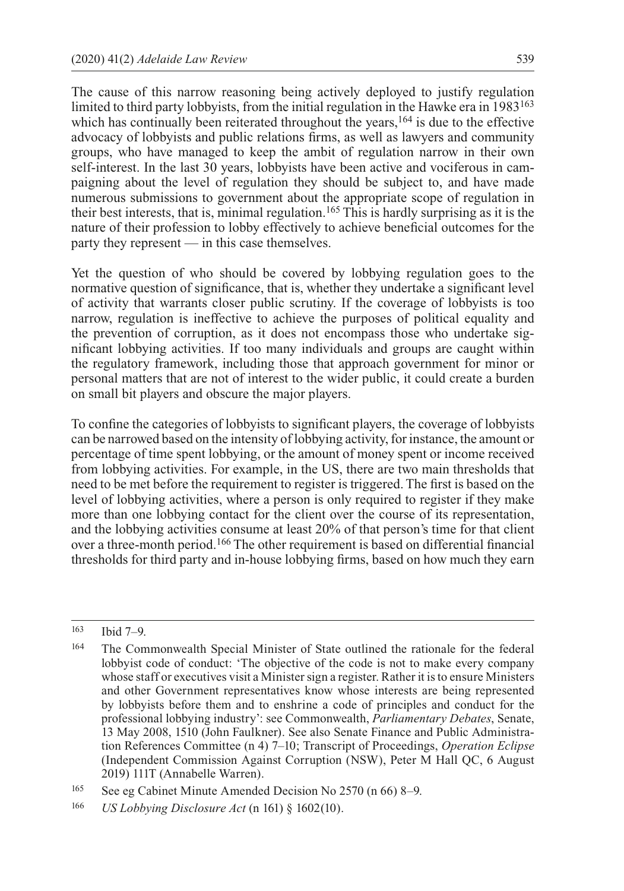The cause of this narrow reasoning being actively deployed to justify regulation limited to third party lobbyists, from the initial regulation in the Hawke era in 1983163 which has continually been reiterated throughout the years,<sup>164</sup> is due to the effective advocacy of lobbyists and public relations firms, as well as lawyers and community groups, who have managed to keep the ambit of regulation narrow in their own self-interest. In the last 30 years, lobbyists have been active and vociferous in campaigning about the level of regulation they should be subject to, and have made numerous submissions to government about the appropriate scope of regulation in their best interests, that is, minimal regulation.165 This is hardly surprising as it is the nature of their profession to lobby effectively to achieve beneficial outcomes for the party they represent — in this case themselves.

Yet the question of who should be covered by lobbying regulation goes to the normative question of significance, that is, whether they undertake a significant level of activity that warrants closer public scrutiny. If the coverage of lobbyists is too narrow, regulation is ineffective to achieve the purposes of political equality and the prevention of corruption, as it does not encompass those who undertake significant lobbying activities. If too many individuals and groups are caught within the regulatory framework, including those that approach government for minor or personal matters that are not of interest to the wider public, it could create a burden on small bit players and obscure the major players.

To confine the categories of lobbyists to significant players, the coverage of lobbyists can be narrowed based on the intensity of lobbying activity, for instance, the amount or percentage of time spent lobbying, or the amount of money spent or income received from lobbying activities. For example, in the US, there are two main thresholds that need to be met before the requirement to register is triggered. The first is based on the level of lobbying activities, where a person is only required to register if they make more than one lobbying contact for the client over the course of its representation, and the lobbying activities consume at least 20% of that person's time for that client over a three-month period.166 The other requirement is based on differential financial thresholds for third party and in-house lobbying firms, based on how much they earn

<sup>163</sup> Ibid 7–9.

<sup>164</sup> The Commonwealth Special Minister of State outlined the rationale for the federal lobbyist code of conduct: 'The objective of the code is not to make every company whose staff or executives visit a Minister sign a register. Rather it is to ensure Ministers and other Government representatives know whose interests are being represented by lobbyists before them and to enshrine a code of principles and conduct for the professional lobbying industry': see Commonwealth, *Parliamentary Debates*, Senate, 13 May 2008, 1510 (John Faulkner). See also Senate Finance and Public Administration References Committee (n 4) 7–10; Transcript of Proceedings, *Operation Eclipse* (Independent Commission Against Corruption (NSW), Peter M Hall QC, 6 August 2019) 111T (Annabelle Warren).

<sup>165</sup> See eg Cabinet Minute Amended Decision No 2570 (n 66) 8–9.

<sup>166</sup> *US Lobbying Disclosure Act* (n 161) § 1602(10).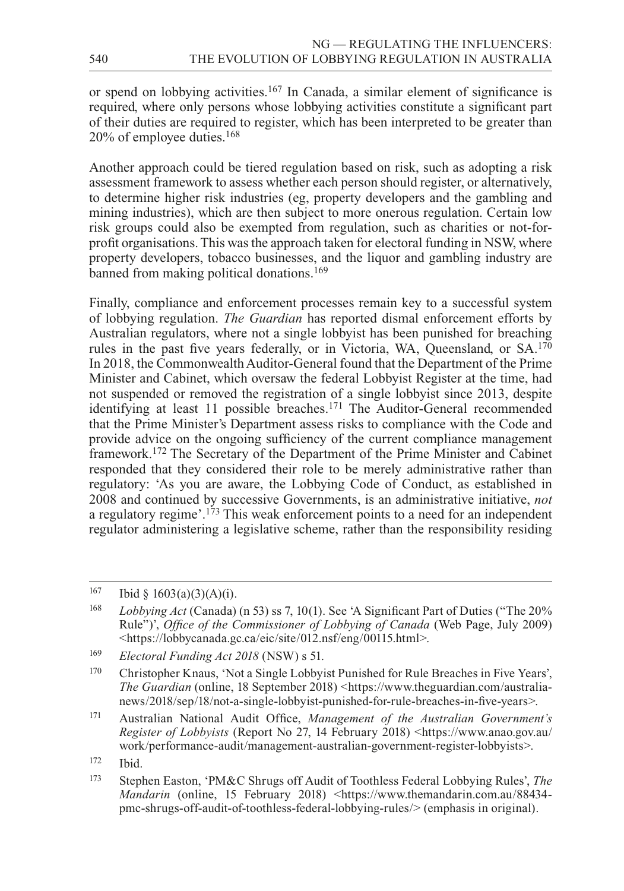or spend on lobbying activities.167 In Canada, a similar element of significance is required, where only persons whose lobbying activities constitute a significant part of their duties are required to register, which has been interpreted to be greater than 20% of employee duties.168

Another approach could be tiered regulation based on risk, such as adopting a risk assessment framework to assess whether each person should register, or alternatively, to determine higher risk industries (eg, property developers and the gambling and mining industries), which are then subject to more onerous regulation. Certain low risk groups could also be exempted from regulation, such as charities or not-forprofit organisations. This was the approach taken for electoral funding in NSW, where property developers, tobacco businesses, and the liquor and gambling industry are banned from making political donations.<sup>169</sup>

Finally, compliance and enforcement processes remain key to a successful system of lobbying regulation. *The Guardian* has reported dismal enforcement efforts by Australian regulators, where not a single lobbyist has been punished for breaching rules in the past five years federally, or in Victoria, WA, Queensland, or SA.170 In 2018, the Commonwealth Auditor-General found that the Department of the Prime Minister and Cabinet, which oversaw the federal Lobbyist Register at the time, had not suspended or removed the registration of a single lobbyist since 2013, despite identifying at least 11 possible breaches.<sup>171</sup> The Auditor-General recommended that the Prime Minister's Department assess risks to compliance with the Code and provide advice on the ongoing sufficiency of the current compliance management framework.172 The Secretary of the Department of the Prime Minister and Cabinet responded that they considered their role to be merely administrative rather than regulatory: 'As you are aware, the Lobbying Code of Conduct, as established in 2008 and continued by successive Governments, is an administrative initiative, *not* a regulatory regime'.173 This weak enforcement points to a need for an independent regulator administering a legislative scheme, rather than the responsibility residing

 $167$  Ibid §  $1603(a)(3)(A)(i)$ .

<sup>168</sup> *Lobbying Act* (Canada) (n 53) ss 7, 10(1). See 'A Significant Part of Duties ("The 20% Rule")', *Office of the Commissioner of Lobbying of Canada* (Web Page, July 2009) <<https://lobbycanada.gc.ca/eic/site/012.nsf/eng/00115.html>>.

<sup>169</sup> *Electoral Funding Act 2018* (NSW) s 51.

<sup>170</sup> Christopher Knaus, 'Not a Single Lobbyist Punished for Rule Breaches in Five Years', *The Guardian* (online, 18 September 2018) <[https://www.theguardian.com/australia](https://www.theguardian.com/australia--news/2018/sep/18/not--a--single--lobbyist--punished--for--rule--breaches--in--five--years)[news/2018/sep/18/not-a-single-lobbyist-punished-for-rule-breaches-in-five-years](https://www.theguardian.com/australia--news/2018/sep/18/not--a--single--lobbyist--punished--for--rule--breaches--in--five--years)>.

<sup>171</sup> Australian National Audit Office, *Management of the Australian Government's Register of Lobbyists* (Report No 27, 14 February 2018) <[https://www.anao.gov.au/](https://www.anao.gov.au/work/performance--audit/management--australian--government--register--lobbyists) [work/performance-audit/management-australian-government-register-lobbyists>](https://www.anao.gov.au/work/performance--audit/management--australian--government--register--lobbyists).

<sup>172</sup> Ibid.

<sup>173</sup> Stephen Easton, 'PM&C Shrugs off Audit of Toothless Federal Lobbying Rules', *The Mandarin* (online, 15 February 2018) <[https://www.themandarin.com.au/88434](https://www.themandarin.com.au/88434--pmc--shrugs--off--audit--of--toothless--federal--lobbying--rules) [pmc-shrugs-off-audit-of-toothless-federal-lobbying-rules/](https://www.themandarin.com.au/88434--pmc--shrugs--off--audit--of--toothless--federal--lobbying--rules)> (emphasis in original).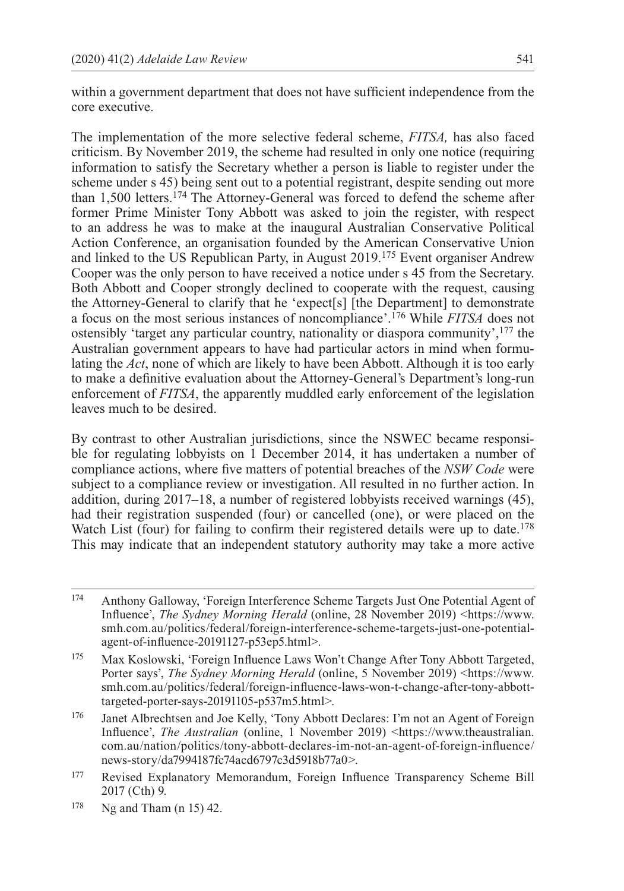within a government department that does not have sufficient independence from the core executive.

The implementation of the more selective federal scheme, *FITSA,* has also faced criticism. By November 2019, the scheme had resulted in only one notice (requiring information to satisfy the Secretary whether a person is liable to register under the scheme under s 45) being sent out to a potential registrant, despite sending out more than 1,500 letters.174 The Attorney-General was forced to defend the scheme after former Prime Minister Tony Abbott was asked to join the register, with respect to an address he was to make at the inaugural Australian Conservative Political Action Conference, an organisation founded by the American Conservative Union and linked to the US Republican Party, in August 2019.175 Event organiser Andrew Cooper was the only person to have received a notice under s 45 from the Secretary. Both Abbott and Cooper strongly declined to cooperate with the request, causing the Attorney-General to clarify that he 'expect[s] [the Department] to demonstrate a focus on the most serious instances of noncompliance'.176 While *FITSA* does not ostensibly 'target any particular country, nationality or diaspora community',177 the Australian government appears to have had particular actors in mind when formulating the *Act*, none of which are likely to have been Abbott. Although it is too early to make a definitive evaluation about the Attorney-General's Department's long-run enforcement of *FITSA*, the apparently muddled early enforcement of the legislation leaves much to be desired.

By contrast to other Australian jurisdictions, since the NSWEC became responsible for regulating lobbyists on 1 December 2014, it has undertaken a number of compliance actions, where five matters of potential breaches of the *NSW Code* were subject to a compliance review or investigation. All resulted in no further action. In addition, during 2017–18, a number of registered lobbyists received warnings (45), had their registration suspended (four) or cancelled (one), or were placed on the Watch List (four) for failing to confirm their registered details were up to date.<sup>178</sup> This may indicate that an independent statutory authority may take a more active

<sup>176</sup> Janet Albrechtsen and Joe Kelly, 'Tony Abbott Declares: I'm not an Agent of Foreign Influence', *The Australian* (online, 1 November 2019) [<https://www.theaustralian.](https://www.theaustralian.com.au/nation/politics/tony--abbott--declares--im--not--an--agent--of--foreign--influence/news--story/da7994187fc74acd6797c3d5918b77a0) [com.au/nation/politics/tony-abbott-declares-im-not-an-agent-of-foreign-influence/](https://www.theaustralian.com.au/nation/politics/tony--abbott--declares--im--not--an--agent--of--foreign--influence/news--story/da7994187fc74acd6797c3d5918b77a0) [news-story/da7994187fc74acd6797c3d5918b77a0](https://www.theaustralian.com.au/nation/politics/tony--abbott--declares--im--not--an--agent--of--foreign--influence/news--story/da7994187fc74acd6797c3d5918b77a0)>.

<sup>174</sup> Anthony Galloway, 'Foreign Interference Scheme Targets Just One Potential Agent of Influence', *The Sydney Morning Herald* (online, 28 November 2019) <[https://www.](https://www.smh.com.au/politics/federal/foreign--interference--scheme--targets--just--one--potential--agent--of--influence--20191127--p53ep5.html) [smh.com.au/politics/federal/foreign-interference-scheme-targets-just-one-potential](https://www.smh.com.au/politics/federal/foreign--interference--scheme--targets--just--one--potential--agent--of--influence--20191127--p53ep5.html)[agent-of-influence-20191127-p53ep5.html>](https://www.smh.com.au/politics/federal/foreign--interference--scheme--targets--just--one--potential--agent--of--influence--20191127--p53ep5.html).

<sup>175</sup> Max Koslowski, 'Foreign Influence Laws Won't Change After Tony Abbott Targeted, Porter says', *The Sydney Morning Herald* (online, 5 November 2019) <[https://www.](https://www.smh.com.au/politics/federal/foreign--influence--laws--won--t--change--after--tony--abbott--targeted--porter--says--20191105--p537m5.html) [smh.com.au/politics/federal/foreign-influence-laws-won-t-change-after-tony-abbott](https://www.smh.com.au/politics/federal/foreign--influence--laws--won--t--change--after--tony--abbott--targeted--porter--says--20191105--p537m5.html)[targeted-porter-says-20191105-p537m5.html](https://www.smh.com.au/politics/federal/foreign--influence--laws--won--t--change--after--tony--abbott--targeted--porter--says--20191105--p537m5.html)>.

<sup>177</sup> Revised Explanatory Memorandum, Foreign Influence Transparency Scheme Bill 2017 (Cth) 9.

<sup>178</sup> Ng and Tham (n 15) 42.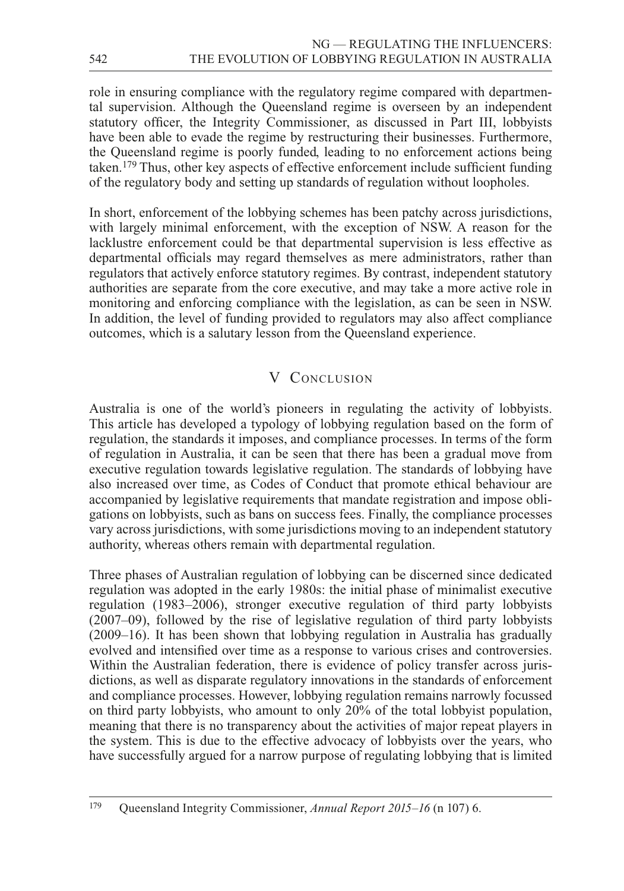role in ensuring compliance with the regulatory regime compared with departmental supervision. Although the Queensland regime is overseen by an independent statutory officer, the Integrity Commissioner, as discussed in Part III, lobbyists have been able to evade the regime by restructuring their businesses. Furthermore, the Queensland regime is poorly funded, leading to no enforcement actions being taken.179 Thus, other key aspects of effective enforcement include sufficient funding of the regulatory body and setting up standards of regulation without loopholes.

In short, enforcement of the lobbying schemes has been patchy across jurisdictions, with largely minimal enforcement, with the exception of NSW. A reason for the lacklustre enforcement could be that departmental supervision is less effective as departmental officials may regard themselves as mere administrators, rather than regulators that actively enforce statutory regimes. By contrast, independent statutory authorities are separate from the core executive, and may take a more active role in monitoring and enforcing compliance with the legislation, as can be seen in NSW. In addition, the level of funding provided to regulators may also affect compliance outcomes, which is a salutary lesson from the Queensland experience.

## V CONCLUSION

Australia is one of the world's pioneers in regulating the activity of lobbyists. This article has developed a typology of lobbying regulation based on the form of regulation, the standards it imposes, and compliance processes. In terms of the form of regulation in Australia, it can be seen that there has been a gradual move from executive regulation towards legislative regulation. The standards of lobbying have also increased over time, as Codes of Conduct that promote ethical behaviour are accompanied by legislative requirements that mandate registration and impose obligations on lobbyists, such as bans on success fees. Finally, the compliance processes vary across jurisdictions, with some jurisdictions moving to an independent statutory authority, whereas others remain with departmental regulation.

Three phases of Australian regulation of lobbying can be discerned since dedicated regulation was adopted in the early 1980s: the initial phase of minimalist executive regulation (1983–2006), stronger executive regulation of third party lobbyists (2007–09), followed by the rise of legislative regulation of third party lobbyists (2009–16). It has been shown that lobbying regulation in Australia has gradually evolved and intensified over time as a response to various crises and controversies. Within the Australian federation, there is evidence of policy transfer across jurisdictions, as well as disparate regulatory innovations in the standards of enforcement and compliance processes. However, lobbying regulation remains narrowly focussed on third party lobbyists, who amount to only 20% of the total lobbyist population, meaning that there is no transparency about the activities of major repeat players in the system. This is due to the effective advocacy of lobbyists over the years, who have successfully argued for a narrow purpose of regulating lobbying that is limited

<sup>179</sup> Queensland Integrity Commissioner, *Annual Report 2015–16* (n 107) 6.